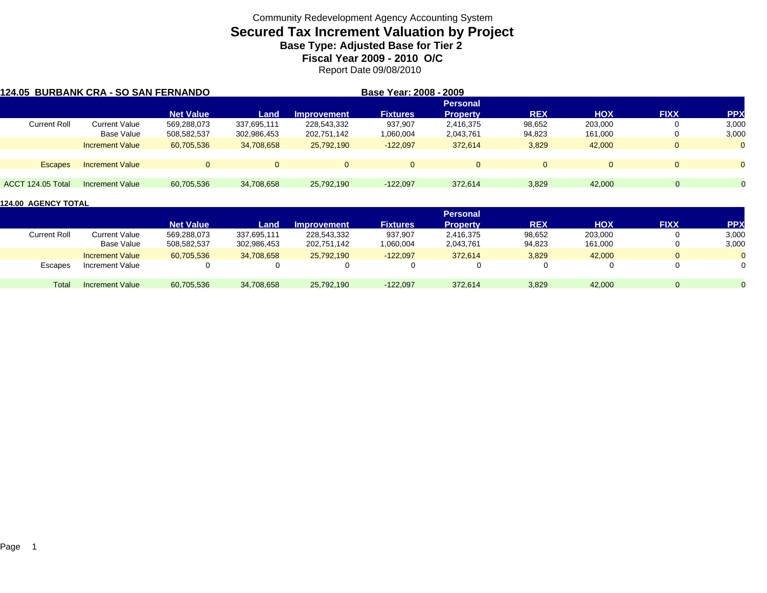# **Secured Tax Increment Valuation by Project**

**Base Type: Adjusted Base for Tier 2** 

**Fiscal Year 2009 - 2010 O/C**

Report Date 09/08/2010

| 124.05 BURBANK CRA - SO SAN FERNANDO |                        |                  |             |                    | Base Year: 2008 - 2009 |                 |            |            |                |              |
|--------------------------------------|------------------------|------------------|-------------|--------------------|------------------------|-----------------|------------|------------|----------------|--------------|
|                                      |                        |                  |             |                    |                        | <b>Personal</b> |            |            |                |              |
|                                      |                        | <b>Net Value</b> | Land        | <b>Improvement</b> | <b>Fixtures</b>        | <b>Property</b> | <b>REX</b> | <b>HOX</b> | <b>FIXX</b>    | <b>PPX</b>   |
| <b>Current Roll</b>                  | <b>Current Value</b>   | 569,288,073      | 337,695,111 | 228,543,332        | 937,907                | 2,416,375       | 98,652     | 203,000    | U              | 3,000        |
|                                      | Base Value             | 508,582,537      | 302,986,453 | 202,751,142        | 060,004.               | 2,043,761       | 94,823     | 161,000    | -0             | 3,000        |
|                                      | <b>Increment Value</b> | 60,705,536       | 34,708,658  | 25,792,190         | $-122,097$             | 372.614         | 3,829      | 42,000     | $\overline{0}$ | $\mathbf{0}$ |
| <b>Escapes</b>                       | <b>Increment Value</b> |                  | $\Omega$    | $\Omega$           | $\Omega$               |                 | $\Omega$   |            | $\Omega$       | $\Omega$     |
| <b>ACCT 124.05 Total</b>             | Increment Value        | 60,705,536       | 34,708,658  | 25,792,190         | $-122,097$             | 372.614         | 3,829      | 42,000     | $\Omega$       |              |

|              |                        |                  |             |                    |                 | <b>Personal</b> |            |            |             |            |
|--------------|------------------------|------------------|-------------|--------------------|-----------------|-----------------|------------|------------|-------------|------------|
|              |                        | <b>Net Value</b> | Land        | <b>Improvement</b> | <b>Fixtures</b> | <b>Property</b> | <b>REX</b> | <b>HOX</b> | <b>FIXX</b> | <b>PPX</b> |
| Current Roll | Current Value          | 569,288,073      | 337,695,111 | 228,543,332        | 937,907         | 2,416,375       | 98,652     | 203,000    |             | 3,000      |
|              | Base Value             | 508,582,537      | 302,986,453 | 202,751,142        | .060,004        | 2,043,761       | 94,823     | 161,000    |             | 3,000      |
|              | <b>Increment Value</b> | 60,705,536       | 34,708,658  | 25,792,190         | $-122,097$      | 372,614         | 3,829      | 42,000     | $\Omega$    |            |
| Escapes      | Increment Value        | $\Omega$         |             |                    |                 |                 |            |            |             |            |
| Total        | <b>Increment Value</b> | 60,705,536       | 34,708,658  | 25,792,190         | $-122,097$      | 372.614         | 3,829      | 42,000     | $\Omega$    |            |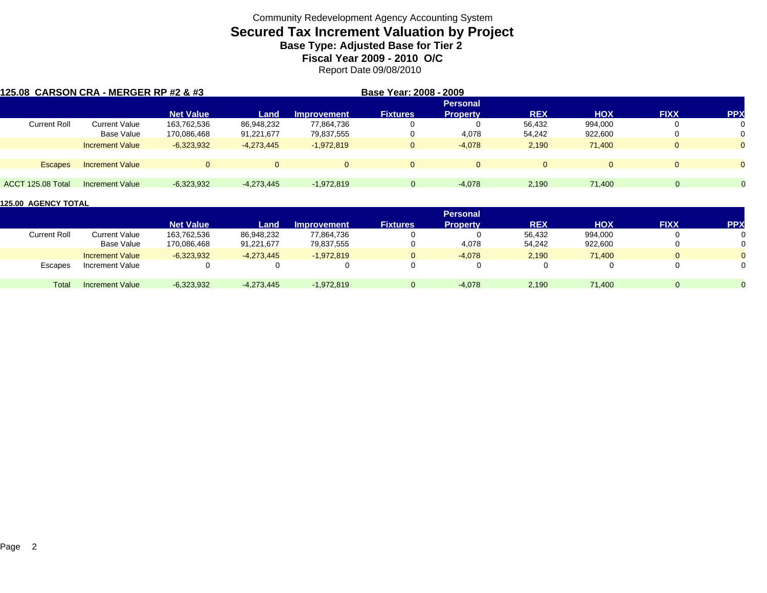# **Secured Tax Increment Valuation by Project**

**Base Type: Adjusted Base for Tier 2** 

**Fiscal Year 2009 - 2010 O/C**

Report Date 09/08/2010

| 125.08 CARSON CRA - MERGER RP #2 & #3 |                        |                  |              |                    | Base Year: 2008 - 2009 |                 |              |            |             |                |
|---------------------------------------|------------------------|------------------|--------------|--------------------|------------------------|-----------------|--------------|------------|-------------|----------------|
|                                       |                        |                  |              |                    |                        | <b>Personal</b> |              |            |             |                |
|                                       |                        | <b>Net Value</b> | Land         | <b>Improvement</b> | <b>Fixtures</b>        | <b>Property</b> | <b>REX</b>   | <b>HOX</b> | <b>FIXX</b> | <b>PPX</b>     |
| <b>Current Roll</b>                   | <b>Current Value</b>   | 163,762,536      | 86,948,232   | 77,864,736         | 0                      |                 | 56,432       | 994,000    | U           | 0              |
|                                       | Base Value             | 170,086,468      | 91,221,677   | 79,837,555         | 0                      | 4,078           | 54,242       | 922,600    | $\left($    | 0              |
|                                       | <b>Increment Value</b> | $-6,323,932$     | $-4,273,445$ | $-1.972.819$       | $\mathbf{0}$           | $-4,078$        | 2,190        | 71.400     | $\Omega$    | $\overline{0}$ |
| <b>Escapes</b>                        | <b>Increment Value</b> | $\Omega$         | $\Omega$     | $\overline{0}$     | $\Omega$               |                 | $\mathbf{0}$ | $\Omega$   | $\Omega$    | $\Omega$       |
|                                       |                        |                  |              |                    |                        |                 |              |            |             |                |
| ACCT 125.08 Total                     | Increment Value        | $-6,323,932$     | $-4,273,445$ | $-1,972,819$       | $\Omega$               | $-4.078$        | 2,190        | 71.400     | $\Omega$    |                |

|                     |                        |                  |              |                    |                 | <b>Personal</b> |            |         |             |            |
|---------------------|------------------------|------------------|--------------|--------------------|-----------------|-----------------|------------|---------|-------------|------------|
|                     |                        | <b>Net Value</b> | Land         | <b>Improvement</b> | <b>Fixtures</b> | Property        | <b>REX</b> | HOX     | <b>FIXX</b> | <b>PPX</b> |
| <b>Current Roll</b> | Current Value          | 163,762,536      | 86,948,232   | 77,864,736         |                 |                 | 56,432     | 994,000 |             |            |
|                     | Base Value             | 170,086,468      | 91,221,677   | 79,837,555         |                 | 4,078           | 54,242     | 922,600 | 0           |            |
|                     | <b>Increment Value</b> | $-6,323,932$     | $-4,273,445$ | $-1.972.819$       | 0               | $-4,078$        | 2,190      | 71.400  | $\Omega$    |            |
| Escapes             | Increment Value        |                  |              |                    | 0               |                 |            |         |             |            |
| Total               | <b>Increment Value</b> | $-6,323,932$     | $-4,273,445$ | $-1,972,819$       | $\Omega$        | $-4,078$        | 2,190      | 71,400  | 0           |            |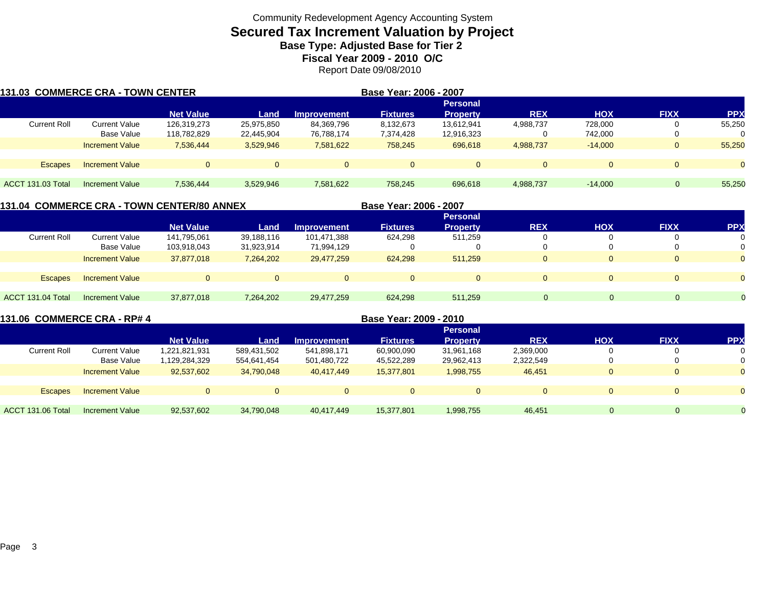# **Secured Tax Increment Valuation by Project**

**Base Type: Adjusted Base for Tier 2** 

**Fiscal Year 2009 - 2010 O/C**

Report Date 09/08/2010

| 131.03 COMMERCE CRA - TOWN CENTER |                        |                  |                    |                                  | Base Year: 2006 - 2007 |                                    |              |            |             |            |
|-----------------------------------|------------------------|------------------|--------------------|----------------------------------|------------------------|------------------------------------|--------------|------------|-------------|------------|
|                                   |                        | <b>Net Value</b> |                    |                                  | <b>Fixtures</b>        | <b>Personal</b><br><b>Property</b> | <b>REX</b>   | <b>HOX</b> | <b>FIXX</b> | <b>PPX</b> |
| <b>Current Roll</b>               | Current Value          | 126,319,273      | Land<br>25,975,850 | <b>Improvement</b><br>84,369,796 | 8,132,673              | 13,612,941                         | 4,988,737    | 728,000    | 0           | 55,250     |
|                                   | Base Value             | 118,782,829      | 22,445,904         | 76,788,174                       | 7,374,428              | 12,916,323                         | υ            | 742.000    | 0           | 0          |
|                                   | <b>Increment Value</b> | 7.536.444        | 3,529,946          | 7,581,622                        | 758,245                | 696,618                            | 4,988,737    | $-14.000$  | $\Omega$    | 55,250     |
|                                   |                        |                  |                    |                                  |                        |                                    |              |            |             |            |
| <b>Escapes</b>                    | <b>Increment Value</b> | $\overline{0}$   |                    |                                  | $\Omega$               | $\Omega$                           | $\mathbf{0}$ |            | $\Omega$    | $\Omega$   |
|                                   |                        |                  |                    |                                  |                        |                                    |              |            |             |            |
| ACCT 131.03 Total                 | Increment Value        | 7,536,444        | 3,529,946          | 7,581,622                        | 758.245                | 696,618                            | 4,988,737    | $-14.000$  |             | 55,250     |

**131.04 COMMERCE CRA - TOWN CENTER/80 ANNEX**

**Base Year: 2006 - 2007**

|                     |                        |                  |            |                    |                 | <b>Personal</b> |            |            |             |            |
|---------------------|------------------------|------------------|------------|--------------------|-----------------|-----------------|------------|------------|-------------|------------|
|                     |                        | <b>Net Value</b> | Land       | <b>Improvement</b> | <b>Fixtures</b> | <b>Property</b> | <b>REX</b> | <b>HOX</b> | <b>FIXX</b> | <b>PPX</b> |
| <b>Current Roll</b> | Current Value          | 141,795,061      | 39,188,116 | 101,471,388        | 624,298         | 511,259         | 0          |            |             | 0          |
|                     | <b>Base Value</b>      | 103,918,043      | 31,923,914 | 71,994,129         |                 |                 | 0          |            |             | 0          |
|                     | <b>Increment Value</b> | 37,877,018       | 7,264,202  | 29,477,259         | 624,298         | 511.259         | $\Omega$   |            |             | $\Omega$   |
|                     |                        |                  |            |                    |                 |                 |            |            |             |            |
| <b>Escapes</b>      | <b>Increment Value</b> | $\Omega$         |            | $\Omega$           | $\Omega$        |                 | $\Omega$   |            |             | $\Omega$   |
|                     |                        |                  |            |                    |                 |                 |            |            |             |            |
| ACCT 131.04 Total   | <b>Increment Value</b> | 37,877,018       | 7,264,202  | 29,477,259         | 624,298         | 511,259         | $\Omega$   |            | $\Omega$    | $\Omega$   |

| 131.06 COMMERCE CRA - RP# 4 |                        |                  |             |                    | Base Year: 2009 - 2010 |                 |            |            |             |            |
|-----------------------------|------------------------|------------------|-------------|--------------------|------------------------|-----------------|------------|------------|-------------|------------|
|                             |                        |                  |             |                    |                        | <b>Personal</b> |            |            |             |            |
|                             |                        | <b>Net Value</b> | Land        | <b>Improvement</b> | <b>Fixtures</b>        | <b>Property</b> | <b>REX</b> | <b>HOX</b> | <b>FIXX</b> | <b>PPX</b> |
| <b>Current Roll</b>         | <b>Current Value</b>   | 1,221,821,931    | 589,431,502 | 541,898,171        | 60,900,090             | 31,961,168      | 2,369,000  |            |             |            |
|                             | Base Value             | 1,129,284,329    | 554,641,454 | 501,480,722        | 45,522,289             | 29,962,413      | 2,322,549  | 0          |             |            |
|                             | <b>Increment Value</b> | 92.537.602       | 34,790,048  | 40.417.449         | 15,377,801             | 1,998,755       | 46,451     | $\Omega$   |             |            |
| <b>Escapes</b>              | <b>Increment Value</b> | $\Omega$         |             |                    | $\Omega$               | $\overline{0}$  | $\Omega$   | $\Omega$   |             |            |
|                             |                        |                  |             |                    |                        |                 |            |            |             |            |
| ACCT 131.06 Total           | Increment Value        | 92,537,602       | 34,790,048  | 40.417.449         | 15,377,801             | 1,998,755       | 46.451     |            | 0           |            |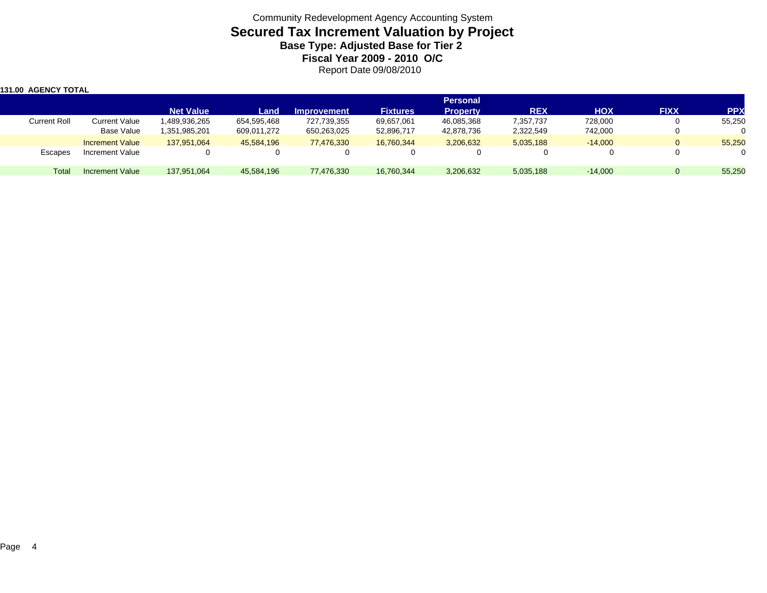### Community Redevelopment Agency Accounting System **Secured Tax Increment Valuation by Project Base Type: Adjusted Base for Tier 2 Fiscal Year 2009 - 2010 O/C** Report Date 09/08/2010

| 131.00 AGENCY TOTAL |                        |                  |             |                    |                 |                 |            |            |             |            |
|---------------------|------------------------|------------------|-------------|--------------------|-----------------|-----------------|------------|------------|-------------|------------|
|                     |                        |                  |             |                    |                 | <b>Personal</b> |            |            |             |            |
|                     |                        | <b>Net Value</b> | Land        | <b>Improvement</b> | <b>Fixtures</b> | <b>Property</b> | <b>REX</b> | <b>HOX</b> | <b>FIXX</b> | <b>PPX</b> |
| <b>Current Roll</b> | Current Value          | 1,489,936,265    | 654,595,468 | 727,739,355        | 69,657,061      | 46,085,368      | 7,357,737  | 728,000    |             | 55,250     |
|                     | Base Value             | 351,985,201. ا   | 609,011,272 | 650,263,025        | 52,896,717      | 42,878,736      | 2,322,549  | 742,000    |             |            |
|                     | <b>Increment Value</b> | 137.951.064      | 45,584,196  | 77.476.330         | 16.760.344      | 3,206,632       | 5,035,188  | $-14.000$  | $\Omega$    | 55,250     |
| Escapes             | Increment Value        | U                |             | v                  | 0               |                 |            | 0          |             |            |
| Total               | <b>Increment Value</b> | 137,951,064      | 45,584,196  | 77,476,330         | 16,760,344      | 3,206,632       | 5,035,188  | $-14.000$  |             | 55,250     |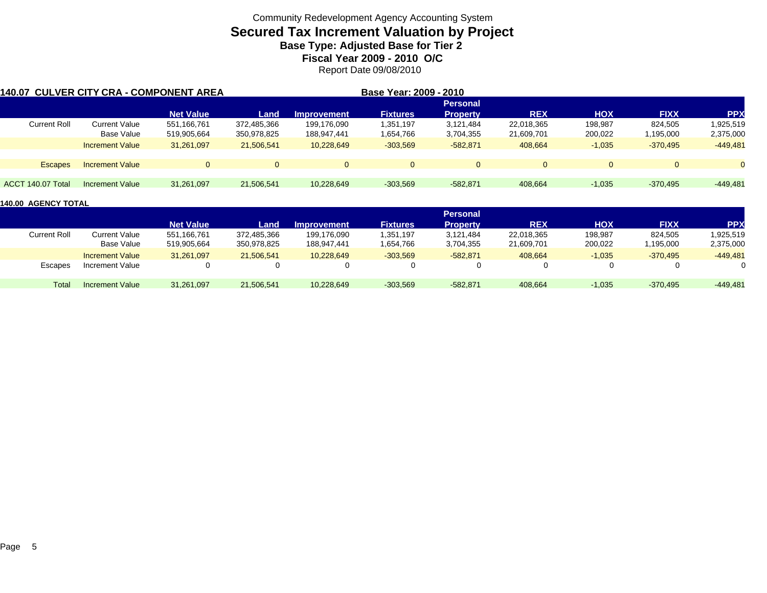## **Secured Tax Increment Valuation by Project**

**Base Type: Adjusted Base for Tier 2** 

**Fiscal Year 2009 - 2010 O/C**

Report Date 09/08/2010

| <b>140.07 CULVER CITY CRA - COMPONENT AREA</b> |                        |                  |             |                    | Base Year: 2009 - 2010 |                 |            |            |             |            |
|------------------------------------------------|------------------------|------------------|-------------|--------------------|------------------------|-----------------|------------|------------|-------------|------------|
|                                                |                        |                  |             |                    |                        | <b>Personal</b> |            |            |             |            |
|                                                |                        | <b>Net Value</b> | Land        | <b>Improvement</b> | <b>Fixtures</b>        | <b>Property</b> | <b>REX</b> | <b>HOX</b> | <b>FIXX</b> | <b>PPX</b> |
| <b>Current Roll</b>                            | <b>Current Value</b>   | 551,166,761      | 372,485,366 | 199,176,090        | 1,351,197              | 3,121,484       | 22,018,365 | 198,987    | 824,505     | 1,925,519  |
|                                                | Base Value             | 519,905,664      | 350,978,825 | 188,947,441        | 1,654,766              | 3,704,355       | 21,609,701 | 200,022    | 1,195,000   | 2,375,000  |
|                                                | <b>Increment Value</b> | 31,261,097       | 21,506,541  | 10,228,649         | $-303,569$             | $-582,871$      | 408,664    | $-1,035$   | $-370,495$  | $-449,481$ |
| <b>Escapes</b>                                 | <b>Increment Value</b> | $\Omega$         | $\Omega$    | $\Omega$           | $\Omega$               |                 | $\Omega$   | $\Omega$   | $\Omega$    |            |
| ACCT 140.07 Total                              | Increment Value        | 31,261,097       | 21,506,541  | 10,228,649         | $-303,569$             | $-582.871$      | 408,664    | $-1,035$   | $-370,495$  | $-449.481$ |

|                     |                        |                  |             |                    |                 | <b>Personal</b> |            |            |             |            |
|---------------------|------------------------|------------------|-------------|--------------------|-----------------|-----------------|------------|------------|-------------|------------|
|                     |                        | <b>Net Value</b> | Land        | <b>Improvement</b> | <b>Fixtures</b> | <b>Property</b> | <b>REX</b> | <b>HOX</b> | <b>FIXX</b> | <b>PP</b>  |
| <b>Current Roll</b> | Current Value          | 551,166,761      | 372,485,366 | 199,176,090        | 1,351,197       | 3,121,484       | 22,018,365 | 198,987    | 824.505     | 1,925,519  |
|                     | Base Value             | 519,905,664      | 350,978,825 | 188,947,441        | 1,654,766       | 3,704,355       | 21,609,701 | 200,022    | 1,195,000   | 2,375,000  |
|                     | <b>Increment Value</b> | 31,261,097       | 21,506,541  | 10,228,649         | $-303,569$      | $-582,871$      | 408,664    | $-1,035$   | $-370,495$  | $-449,481$ |
| Escapes             | Increment Value        |                  |             | $\Omega$           |                 |                 |            | $\Omega$   |             |            |
| Total               | Increment Value        | 31,261,097       | 21,506,541  | 10,228,649         | $-303,569$      | $-582.871$      | 408,664    | $-1,035$   | $-370.495$  | $-449,481$ |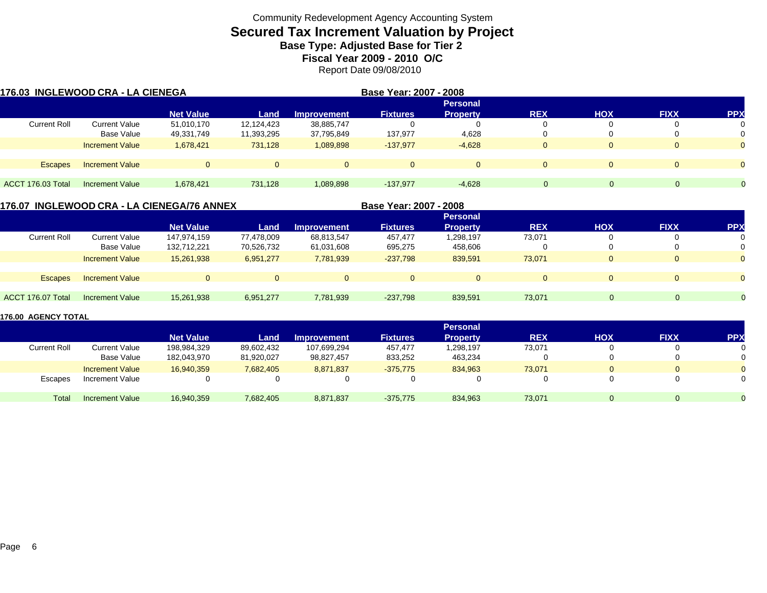# **Secured Tax Increment Valuation by Project**

**Base Type: Adjusted Base for Tier 2** 

**Fiscal Year 2009 - 2010 O/C**

Report Date 09/08/2010

|                     | 176.03 INGLEWOOD CRA - LA CIENEGA |                  |            | Base Year: 2007 - 2008 |                 |                 |              |            |             |           |
|---------------------|-----------------------------------|------------------|------------|------------------------|-----------------|-----------------|--------------|------------|-------------|-----------|
|                     |                                   |                  |            |                        |                 | <b>Personal</b> |              |            |             |           |
|                     |                                   | <b>Net Value</b> | Land       | <b>Improvement</b>     | <b>Fixtures</b> | <b>Property</b> | <b>REX</b>   | <b>HOX</b> | <b>FIXX</b> | <b>PP</b> |
| <b>Current Roll</b> | <b>Current Value</b>              | 51,010,170       | 12,124,423 | 38,885,747             |                 | $\Omega$        |              |            |             | 0         |
|                     | Base Value                        | 49,331,749       | 11,393,295 | 37,795,849             | 137,977         | 4,628           |              |            |             | $\Omega$  |
|                     | <b>Increment Value</b>            | 1,678,421        | 731,128    | 1,089,898              | $-137,977$      | $-4,628$        | $\mathbf{0}$ |            | $\Omega$    | $\Omega$  |
|                     |                                   |                  |            |                        |                 |                 |              |            |             |           |
| <b>Escapes</b>      | <b>Increment Value</b>            | $\Omega$         |            |                        | $\Omega$        | $\Omega$        | $\Omega$     |            | $\Omega$    | $\Omega$  |
| ACCT 176.03 Total   | Increment Value                   | 1,678,421        | 731.128    | 1,089,898              | $-137,977$      | $-4,628$        | $\mathbf 0$  | $\Omega$   | $\Omega$    |           |

**176.07 INGLEWOOD CRA - LA CIENEGA/76 ANNEX**

**Base Year: 2007 - 2008**

|                     |                        |                  |            |                    |                 | <b>Personal</b> |            |            |             |            |
|---------------------|------------------------|------------------|------------|--------------------|-----------------|-----------------|------------|------------|-------------|------------|
|                     |                        | <b>Net Value</b> | Land       | <b>Improvement</b> | <b>Fixtures</b> | <b>Property</b> | <b>REX</b> | <b>HOX</b> | <b>FIXX</b> | <b>PPX</b> |
| <b>Current Roll</b> | <b>Current Value</b>   | 147,974,159      | 77,478,009 | 68,813,547         | 457,477         | 1,298,197       | 73,071     |            |             |            |
|                     | Base Value             | 132,712,221      | 70,526,732 | 61,031,608         | 695,275         | 458,606         |            |            |             |            |
|                     | <b>Increment Value</b> | 15,261,938       | 6,951,277  | 7,781,939          | $-237,798$      | 839,591         | 73,071     |            | $\mathbf 0$ |            |
|                     |                        |                  |            |                    |                 |                 |            |            |             |            |
| <b>Escapes</b>      | <b>Increment Value</b> | $\mathbf 0$      | $\Omega$   | 0                  | 0               |                 | $\Omega$   | $\Omega$   | 0           |            |
|                     |                        |                  |            |                    |                 |                 |            |            |             |            |
| ACCT 176.07 Total   | Increment Value        | 15,261,938       | 6,951,277  | 7,781,939          | $-237,798$      | 839,591         | 73,071     | 0.         | $\Omega$    | $\Omega$   |

|                     |                        |                  |            |                    |                 | <b>Personal</b> |            |          |              |            |
|---------------------|------------------------|------------------|------------|--------------------|-----------------|-----------------|------------|----------|--------------|------------|
|                     |                        | <b>Net Value</b> | Land       | <b>Improvement</b> | <b>Fixtures</b> | <b>Property</b> | <b>REX</b> | HOX      | <b>FIXX</b>  | <b>PPX</b> |
| <b>Current Roll</b> | <b>Current Value</b>   | 198,984,329      | 89,602,432 | 107,699,294        | 457,477         | 1,298,197       | 73,071     |          | $\mathbf{0}$ |            |
|                     | <b>Base Value</b>      | 182,043,970      | 81,920,027 | 98,827,457         | 833,252         | 463,234         |            |          | 0            |            |
|                     | <b>Increment Value</b> | 16,940,359       | 7,682,405  | 8,871,837          | $-375.775$      | 834.963         | 73.071     | $\Omega$ | $\Omega$     |            |
| Escapes             | Increment Value        |                  |            |                    |                 |                 | 0          |          |              |            |
| Total               | Increment Value        | 16,940,359       | 7,682,405  | 8,871,837          | $-375,775$      | 834,963         | 73,071     |          | $\Omega$     |            |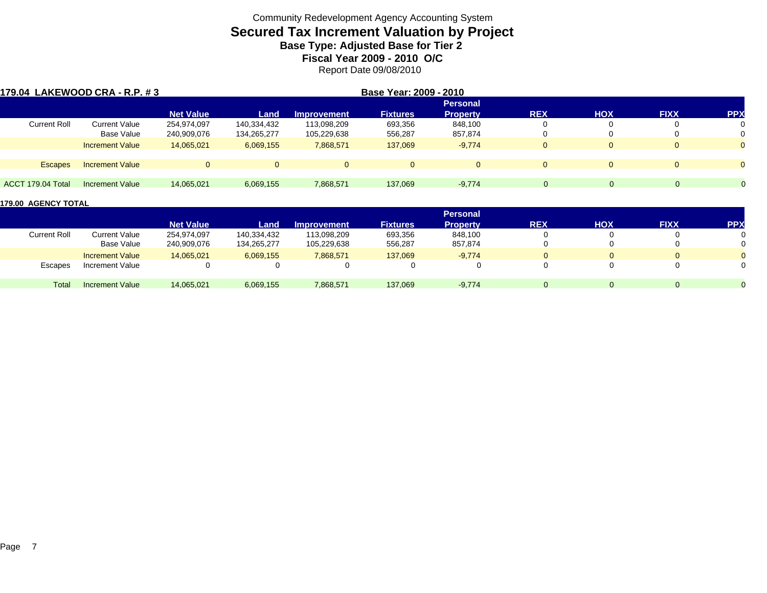# **Secured Tax Increment Valuation by Project**

**Base Type: Adjusted Base for Tier 2** 

**Fiscal Year 2009 - 2010 O/C** Report Date 09/08/2010

| 179.04 LAKEWOOD CRA - R.P. #3 |                        |                  | Base Year: 2009 - 2010 |                    |                 |                 |              |            |             |                |
|-------------------------------|------------------------|------------------|------------------------|--------------------|-----------------|-----------------|--------------|------------|-------------|----------------|
|                               |                        |                  |                        |                    |                 | <b>Personal</b> |              |            |             |                |
|                               |                        | <b>Net Value</b> | Land                   | <b>Improvement</b> | <b>Fixtures</b> | <b>Property</b> | <b>REX</b>   | <b>HOX</b> | <b>FIXX</b> | <b>PP</b>      |
| <b>Current Roll</b>           | <b>Current Value</b>   | 254,974,097      | 140,334,432            | 113,098,209        | 693,356         | 848.100         | 0            |            |             | 0              |
|                               | Base Value             | 240,909,076      | 134,265,277            | 105,229,638        | 556,287         | 857,874         | U            |            |             | 0              |
|                               | <b>Increment Value</b> | 14,065,021       | 6,069,155              | 7,868,571          | 137,069         | $-9,774$        | $\mathbf{0}$ |            |             | $\overline{0}$ |
|                               |                        |                  |                        |                    |                 |                 |              |            |             |                |
| <b>Escapes</b>                | <b>Increment Value</b> |                  | $\Omega$               | $\Omega$           | $\Omega$        | $\Omega$        | $\mathbf{0}$ |            | $\Omega$    | $\Omega$       |
|                               |                        |                  |                        |                    |                 |                 |              |            |             |                |
| ACCT 179.04 Total             | Increment Value        | 14.065.021       | 6,069,155              | 7,868,571          | 137.069         | $-9,774$        | $\Omega$     |            | $\Omega$    | $\Omega$       |

|                     |                        |                  |             |                    |                 | <b>Personal</b> |            |          |             |            |
|---------------------|------------------------|------------------|-------------|--------------------|-----------------|-----------------|------------|----------|-------------|------------|
|                     |                        | <b>Net Value</b> | Land        | <b>Improvement</b> | <b>Fixtures</b> | <b>Property</b> | <b>REX</b> | HOX      | <b>FIXX</b> | <b>PPX</b> |
| <b>Current Roll</b> | Current Value          | 254,974,097      | 140,334,432 | 113,098,209        | 693,356         | 848,100         |            |          |             |            |
|                     | Base Value             | 240,909,076      | 134,265,277 | 105,229,638        | 556,287         | 857,874         |            |          |             |            |
|                     | <b>Increment Value</b> | 14,065,021       | 6,069,155   | 7,868,571          | 137,069         | $-9,774$        |            |          |             |            |
| Escapes             | Increment Value        |                  |             | $\Omega$           |                 |                 |            |          |             |            |
| Total               | <b>Increment Value</b> | 14,065,021       | 6,069,155   | 7,868,571          | 137,069         | $-9,774$        |            | $\Omega$ |             |            |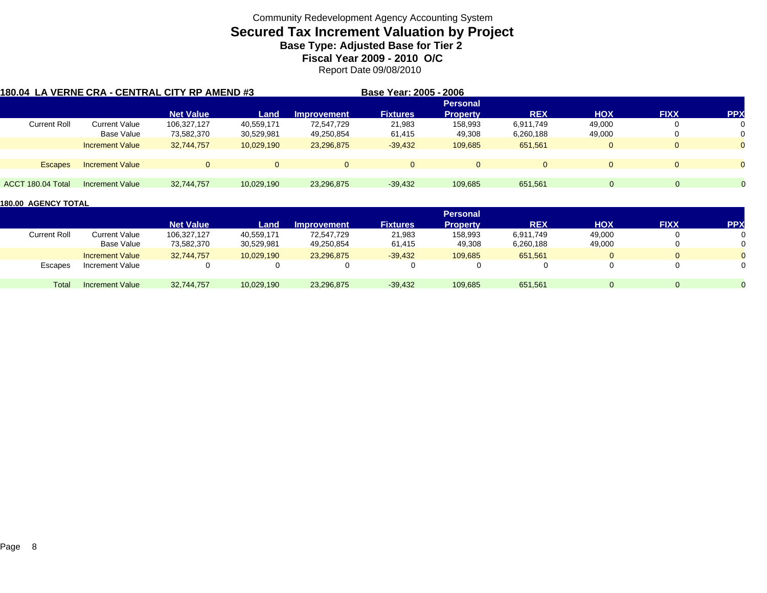## **Secured Tax Increment Valuation by Project**

**Base Type: Adjusted Base for Tier 2** 

**Fiscal Year 2009 - 2010 O/C**

Report Date 09/08/2010

| 180.04 LA VERNE CRA - CENTRAL CITY RP AMEND #3 |                        |                  |            |                    | Base Year: 2005 - 2006 |                 |            |            |              |            |
|------------------------------------------------|------------------------|------------------|------------|--------------------|------------------------|-----------------|------------|------------|--------------|------------|
|                                                |                        |                  |            |                    |                        | <b>Personal</b> |            |            |              |            |
|                                                |                        | <b>Net Value</b> | Land       | <b>Improvement</b> | <b>Fixtures</b>        | <b>Property</b> | <b>REX</b> | <b>HOX</b> | <b>FIXX</b>  | <b>PPX</b> |
| <b>Current Roll</b>                            | Current Value          | 106,327,127      | 40,559,171 | 72,547,729         | 21,983                 | 158,993         | 6,911,749  | 49,000     | 0            |            |
|                                                | Base Value             | 73,582,370       | 30,529,981 | 49,250,854         | 61,415                 | 49,308          | 6,260,188  | 49,000     | 0            |            |
|                                                | <b>Increment Value</b> | 32,744,757       | 10,029,190 | 23,296,875         | $-39,432$              | 109,685         | 651,561    | 0          | $\mathbf{0}$ |            |
|                                                |                        |                  |            |                    |                        |                 |            |            |              |            |
| <b>Escapes</b>                                 | <b>Increment Value</b> | $\Omega$         | $\Omega$   |                    | $\Omega$               | 0               | $\Omega$   | $\Omega$   | $\Omega$     |            |
|                                                |                        |                  |            |                    |                        |                 |            |            |              |            |
| ACCT 180.04 Total                              | Increment Value        | 32,744,757       | 10,029,190 | 23,296,875         | $-39,432$              | 109,685         | 651,561    | $\Omega$   | 0            | $\Omega$   |

|              |                        |                  |            |                    |                 | <b>Personal</b> |            |        |             |            |
|--------------|------------------------|------------------|------------|--------------------|-----------------|-----------------|------------|--------|-------------|------------|
|              |                        | <b>Net Value</b> | Land       | <b>Improvement</b> | <b>Fixtures</b> | <b>Property</b> | <b>REX</b> | HOX    | <b>FIXX</b> | <b>PPX</b> |
| Current Roll | Current Value          | 106,327,127      | 40,559,171 | 72.547.729         | 21,983          | 158,993         | 6,911,749  | 49,000 |             |            |
|              | Base Value             | 73,582,370       | 30,529,981 | 49,250,854         | 61,415          | 49,308          | 6,260,188  | 49,000 |             |            |
|              | <b>Increment Value</b> | 32.744.757       | 10.029.190 | 23.296.875         | $-39,432$       | 109,685         | 651,561    |        | $\Omega$    |            |
| Escapes      | Increment Value        | 0                |            |                    |                 |                 |            |        |             |            |
| Total        | Increment Value        | 32,744,757       | 10,029,190 | 23,296,875         | $-39,432$       | 109,685         | 651,561    |        | $\Omega$    |            |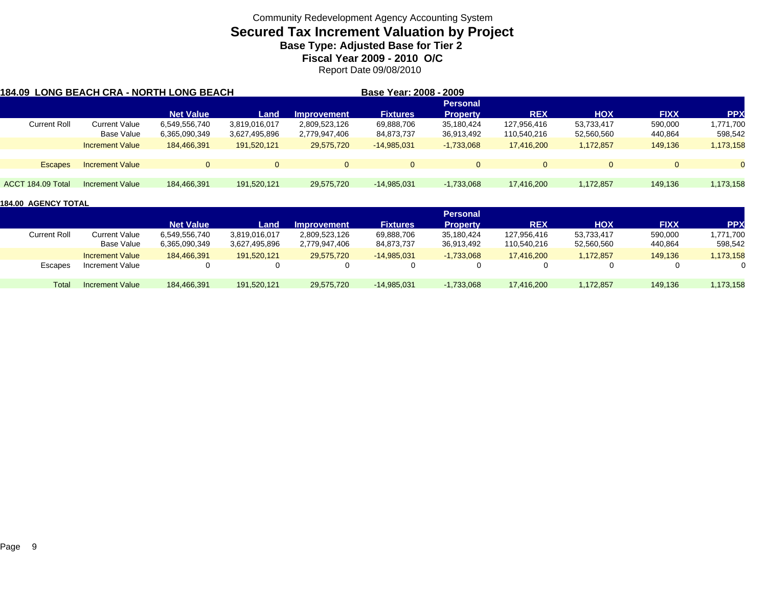### **Secured Tax Increment Valuation by Project**

**Base Type: Adjusted Base for Tier 2** 

**Fiscal Year 2009 - 2010 O/C**

Report Date 09/08/2010

| 1184.09  LONG BEACH CRA - NORTH LONG BEACH |                        |                  |               |                    | Base Year: 2008 - 2009 |                 |             |                |             |            |
|--------------------------------------------|------------------------|------------------|---------------|--------------------|------------------------|-----------------|-------------|----------------|-------------|------------|
|                                            |                        |                  |               |                    |                        | <b>Personal</b> |             |                |             |            |
|                                            |                        | <b>Net Value</b> | Land          | <b>Improvement</b> | <b>Fixtures</b>        | <b>Property</b> | <b>REX</b>  | <b>HOX</b>     | <b>FIXX</b> | <b>PPX</b> |
| <b>Current Roll</b>                        | Current Value          | 6,549,556,740    | 3,819,016,017 | 2,809,523,126      | 69,888,706             | 35,180,424      | 127.956.416 | 53,733,417     | 590,000     | 1,771,700  |
|                                            | Base Value             | 6,365,090,349    | 3,627,495,896 | 2,779,947,406      | 84,873,737             | 36,913,492      | 110,540,216 | 52,560,560     | 440,864     | 598,542    |
|                                            | <b>Increment Value</b> | 184,466,391      | 191,520,121   | 29,575,720         | -14,985,031            | $-1,733,068$    | 17,416,200  | 1,172,857      | 149,136     | 1,173,158  |
| <b>Escapes</b>                             | <b>Increment Value</b> | $\Omega$         | $\Omega$      | $\Omega$           | $\Omega$               |                 | $\Omega$    | $\overline{0}$ | $\Omega$    |            |
|                                            |                        |                  |               |                    |                        |                 |             |                |             |            |
| ACCT 184.09 Total                          | Increment Value        | 184,466,391      | 191,520,121   | 29,575,720         | $-14,985,031$          | $-1,733,068$    | 17.416.200  | 1,172,857      | 149.136     | 1,173,158  |

|                     |                        |                  |               |                    |                 | <b>Personal</b> |             |            |             |                 |
|---------------------|------------------------|------------------|---------------|--------------------|-----------------|-----------------|-------------|------------|-------------|-----------------|
|                     |                        | <b>Net Value</b> | Land          | <b>Improvement</b> | <b>Fixtures</b> | <b>Property</b> | <b>REX</b>  | <b>HOX</b> | <b>FIXX</b> | PP <sub>2</sub> |
| <b>Current Roll</b> | Current Value          | 6,549,556,740    | 3,819,016,017 | 2,809,523,126      | 69,888,706      | 35,180,424      | 127,956,416 | 53,733,417 | 590,000     | 1,771,700       |
|                     | Base Value             | 6,365,090,349    | 3,627,495,896 | 2,779,947,406      | 84,873,737      | 36,913,492      | 110,540,216 | 52,560,560 | 440,864     | 598,542         |
|                     | <b>Increment Value</b> | 184.466.391      | 191.520.121   | 29.575.720         | $-14.985.031$   | $-1.733.068$    | 17.416.200  | .172.857   | 149.136     | 173,158         |
| Escapes             | Increment Value        | 0                |               |                    |                 |                 |             | 0          |             |                 |
| Total               | <b>Increment Value</b> | 184.466.391      | 191,520,121   | 29,575,720         | $-14,985,031$   | $-1,733,068$    | 17,416,200  | 1,172,857  | 149.136     | 1,173,158       |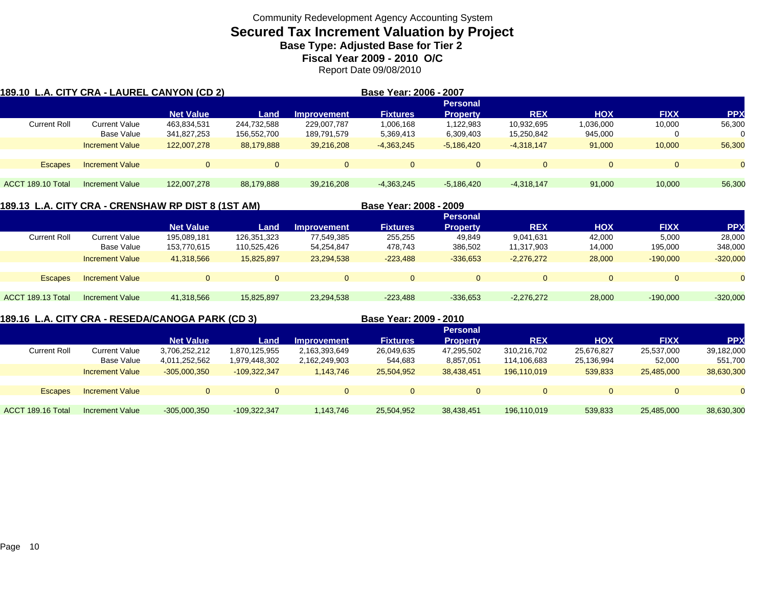## **Secured Tax Increment Valuation by Project**

**Base Type: Adjusted Base for Tier 2** 

**Fiscal Year 2009 - 2010 O/C**

Report Date 09/08/2010

|                     |                        | 189.10  L.A. CITY CRA - LAUREL CANYON (CD 2) |             |                    | Base Year: 2006 - 2007 |                 |              |            |             |            |
|---------------------|------------------------|----------------------------------------------|-------------|--------------------|------------------------|-----------------|--------------|------------|-------------|------------|
|                     |                        |                                              |             |                    |                        | <b>Personal</b> |              |            |             |            |
|                     |                        | <b>Net Value</b>                             | Land        | <b>Improvement</b> | <b>Fixtures</b>        | <b>Property</b> | <b>REX</b>   | <b>HOX</b> | <b>FIXX</b> | <b>PPX</b> |
| <b>Current Roll</b> | <b>Current Value</b>   | 463,834,531                                  | 244,732,588 | 229,007,787        | 1,006,168              | 1,122,983       | 10,932,695   | 1,036,000  | 10,000      | 56,300     |
|                     | Base Value             | 341,827,253                                  | 156,552,700 | 189,791,579        | 5,369,413              | 6,309,403       | 15,250,842   | 945,000    | 0           | 0          |
|                     | <b>Increment Value</b> | 122,007,278                                  | 88,179,888  | 39,216,208         | $-4,363,245$           | $-5.186.420$    | $-4.318.147$ | 91,000     | 10.000      | 56,300     |
|                     |                        |                                              |             |                    |                        |                 |              |            |             |            |
| <b>Escapes</b>      | <b>Increment Value</b> |                                              | $\Omega$    | $\mathbf{0}$       | $\Omega$               | $\Omega$        | $\Omega$     | $\Omega$   | $\Omega$    | $\Omega$   |
|                     |                        |                                              |             |                    |                        |                 |              |            |             |            |
| ACCT 189.10 Total   | Increment Value        | 122.007.278                                  | 88,179,888  | 39.216.208         | $-4.363.245$           | $-5.186.420$    | $-4.318.147$ | 91.000     | 10.000      | 56,300     |

**189.13 L.A. CITY CRA - CRENSHAW RP DIST 8 (1ST AM) Base Year: 2008 - 2009**

|                     |                        | <u>UJI U LA UILI VINA EUNLINUILAN INI DIUTU INI AMI</u> |             |                    | DUSC TCUI. LUUU - LUUJ |                 |              |            |             |            |
|---------------------|------------------------|---------------------------------------------------------|-------------|--------------------|------------------------|-----------------|--------------|------------|-------------|------------|
|                     |                        |                                                         |             |                    |                        | <b>Personal</b> |              |            |             |            |
|                     |                        | <b>Net Value</b>                                        | Land        | <b>Improvement</b> | <b>Fixtures</b>        | <b>Property</b> | <b>REX</b>   | <b>HOX</b> | <b>FIXX</b> | <b>PPX</b> |
| <b>Current Roll</b> | <b>Current Value</b>   | 195,089,181                                             | 126,351,323 | 77,549,385         | 255,255                | 49.849          | 9,041,631    | 42,000     | 5,000       | 28,000     |
|                     | Base Value             | 153,770,615                                             | 110,525,426 | 54,254,847         | 478,743                | 386,502         | 11,317,903   | 14,000     | 195,000     | 348,000    |
|                     | <b>Increment Value</b> | 41,318,566                                              | 15,825,897  | 23,294,538         | $-223.488$             | $-336,653$      | $-2.276.272$ | 28,000     | $-190.000$  | $-320,000$ |
|                     |                        |                                                         |             |                    |                        |                 |              |            |             |            |
| <b>Escapes</b>      | <b>Increment Value</b> |                                                         | $\Omega$    | $\Omega$           | $\Omega$               |                 | $\Omega$     | $\Omega$   |             | $\Omega$   |
|                     |                        |                                                         |             |                    |                        |                 |              |            |             |            |
| ACCT 189.13 Total   | Increment Value        | 41,318,566                                              | 15,825,897  | 23,294,538         | $-223,488$             | $-336,653$      | $-2,276,272$ | 28,000     | $-190.000$  | $-320,000$ |
|                     |                        |                                                         |             |                    |                        |                 |              |            |             |            |

**189.16 L.A. CITY CRA - RESEDA/CANOGA PARK (CD 3) Base Year: 2009 - 2010**

|                        |                  |                |               |                 | <b>Personal</b> |             |            |             |            |
|------------------------|------------------|----------------|---------------|-----------------|-----------------|-------------|------------|-------------|------------|
|                        | <b>Net Value</b> | Land           | Improvement   | <b>Fixtures</b> | <b>Property</b> | <b>REX</b>  | <b>HOX</b> | <b>FIXX</b> | <b>PPX</b> |
| <b>Current Value</b>   | 3,706,252,212    | 1,870,125,955  | 2,163,393,649 | 26,049,635      | 47,295,502      | 310,216,702 | 25,676,827 | 25,537,000  | 39,182,000 |
| Base Value             | 4,011,252,562    | 1,979,448,302  | 2,162,249,903 | 544.683         | 8,857,051       | 114,106,683 | 25,136,994 | 52,000      | 551,700    |
| <b>Increment Value</b> | $-305,000,350$   | $-109.322.347$ | 1,143,746     | 25,504,952      | 38,438,451      | 196.110.019 | 539,833    | 25,485,000  | 38,630,300 |
|                        |                  |                |               |                 |                 |             |            |             |            |
| <b>Increment Value</b> |                  |                |               | $\Omega$        | $\Omega$        | 0           |            |             |            |
|                        |                  |                |               |                 |                 |             |            |             |            |
| <b>Increment Value</b> | $-305,000,350$   | $-109,322,347$ | 143,746       | 25,504,952      | 38,438,451      | 196,110,019 | 539,833    | 25,485,000  | 38,630,300 |
|                        |                  |                |               |                 |                 |             |            |             |            |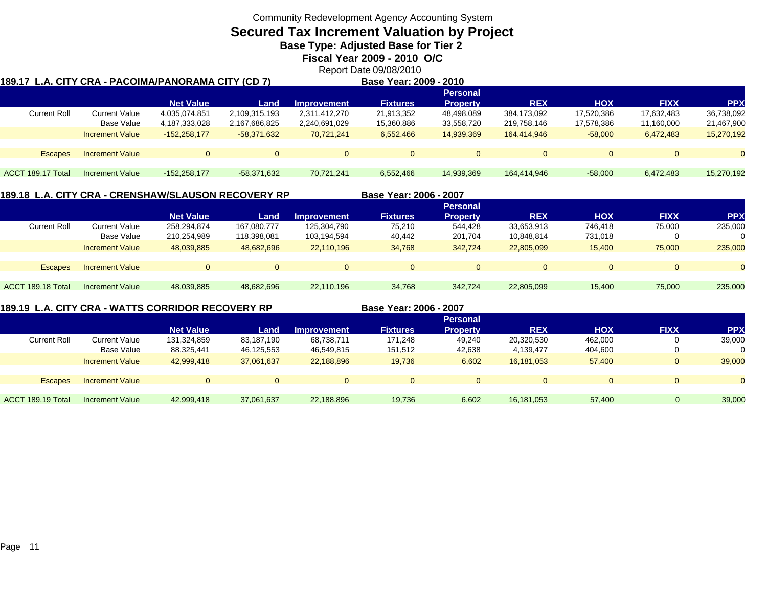## **Secured Tax Increment Valuation by Project**

**Base Type: Adjusted Base for Tier 2** 

**Fiscal Year 2009 - 2010 O/C**

Report Date 09/08/2010

| 189.17  L.A. CITY CRA - PACOIMA/PANORAMA CITY (CD 7) |                        |                  |               |                    | Base Year: 2009 - 2010 |                 |             |            |             |            |  |
|------------------------------------------------------|------------------------|------------------|---------------|--------------------|------------------------|-----------------|-------------|------------|-------------|------------|--|
|                                                      |                        |                  |               |                    |                        | <b>Personal</b> |             |            |             |            |  |
|                                                      |                        | <b>Net Value</b> | Land          | <b>Improvement</b> | <b>Fixtures</b>        | <b>Property</b> | <b>REX</b>  | <b>HOX</b> | <b>FIXX</b> | <b>PPX</b> |  |
| <b>Current Roll</b>                                  | <b>Current Value</b>   | 4,035,074,851    | 2,109,315,193 | 2,311,412,270      | 21,913,352             | 48,498,089      | 384,173,092 | 17,520,386 | 17,632,483  | 36,738,092 |  |
|                                                      | <b>Base Value</b>      | 4,187,333,028    | 2,167,686,825 | 2,240,691,029      | 15,360,886             | 33,558,720      | 219,758,146 | 17,578,386 | 11,160,000  | 21,467,900 |  |
|                                                      | <b>Increment Value</b> | $-152.258.177$   | $-58.371.632$ | 70.721.241         | 6,552,466              | 14,939,369      | 164.414.946 | $-58,000$  | 6,472,483   | 15,270,192 |  |
|                                                      |                        |                  |               |                    |                        |                 |             |            |             |            |  |
| <b>Escapes</b>                                       | <b>Increment Value</b> | $\Omega$         |               | $\Omega$           | $\Omega$               | $\Omega$        | $\Omega$    | $\Omega$   | 0           | $\Omega$   |  |
|                                                      |                        |                  |               |                    |                        |                 |             |            |             |            |  |
| ACCT 189.17 Total                                    | Increment Value        | $-152,258,177$   | -58,371,632   | 70,721,241         | 6,552,466              | 14,939,369      | 164,414,946 | $-58,000$  | 6,472,483   | 15,270,192 |  |
|                                                      |                        |                  |               |                    |                        |                 |             |            |             |            |  |

### **189.18 L.A. CITY CRA - CRENSHAW/SLAUSON RECOVERY RP**

|                     |                        |                  |             |                    |                 | <b>Personal</b> |              |            |             |           |
|---------------------|------------------------|------------------|-------------|--------------------|-----------------|-----------------|--------------|------------|-------------|-----------|
|                     |                        | <b>Net Value</b> | Land        | <b>Improvement</b> | <b>Fixtures</b> | <b>Property</b> | <b>REX</b>   | <b>HOX</b> | <b>FIXX</b> | <b>PP</b> |
| <b>Current Roll</b> | <b>Current Value</b>   | 258,294,874      | 167,080,777 | 125,304,790        | 75,210          | 544,428         | 33,653,913   | 746.418    | 75,000      | 235,000   |
|                     | Base Value             | 210,254,989      | 118,398,081 | 103,194,594        | 40,442          | 201,704         | 10,848,814   | 731,018    |             | 0         |
|                     | <b>Increment Value</b> | 48,039,885       | 48,682,696  | 22,110,196         | 34,768          | 342.724         | 22,805,099   | 15,400     | 75,000      | 235,000   |
|                     |                        |                  |             |                    |                 |                 |              |            |             |           |
| <b>Escapes</b>      | Increment Value        |                  |             | $\Omega$           | $\Omega$        | $\Omega$        | $\mathbf{0}$ |            | O           | $\Omega$  |
|                     |                        |                  |             |                    |                 |                 |              |            |             |           |
| ACCT 189.18 Total   | Increment Value        | 48,039,885       | 48,682,696  | 22,110,196         | 34,768          | 342,724         | 22,805,099   | 15,400     | 75,000      | 235,000   |

### **189.19 L.A. CITY CRA - WATTS CORRIDOR RECOVERY RP**

**Base Year: 2006 - 2007**

**Base Year: 2006 - 2007**

|                     |                        | ______________   |                |                    | _ _ _ _ . _ _ . _ _ . _ | ----            |            |            |             |            |
|---------------------|------------------------|------------------|----------------|--------------------|-------------------------|-----------------|------------|------------|-------------|------------|
|                     |                        |                  |                |                    |                         | <b>Personal</b> |            |            |             |            |
|                     |                        | <b>Net Value</b> | Land           | <b>Improvement</b> | <b>Fixtures</b>         | <b>Property</b> | <b>REX</b> | <b>HOX</b> | <b>FIXX</b> | <b>PPX</b> |
| <b>Current Roll</b> | <b>Current Value</b>   | 131,324,859      | 83,187,190     | 68,738,711         | 171,248                 | 49,240          | 20,320,530 | 462,000    |             | 39,000     |
|                     | Base Value             | 88,325,441       | 46,125,553     | 46,549,815         | 151,512                 | 42,638          | 4,139,477  | 404.600    |             |            |
|                     | <b>Increment Value</b> | 42,999,418       | 37,061,637     | 22,188,896         | 19,736                  | 6,602           | 16,181,053 | 57,400     |             | 39,000     |
| <b>Escapes</b>      | <b>Increment Value</b> | $\Omega$         | $\overline{0}$ | $\Omega$           | $\Omega$                |                 | $\Omega$   | $\Omega$   |             |            |
| ACCT 189.19 Total   | <b>Increment Value</b> | 42,999,418       | 37,061,637     | 22,188,896         | 19,736                  | 6,602           | 16,181,053 | 57,400     | 0           | 39,000     |
|                     |                        |                  |                |                    |                         |                 |            |            |             |            |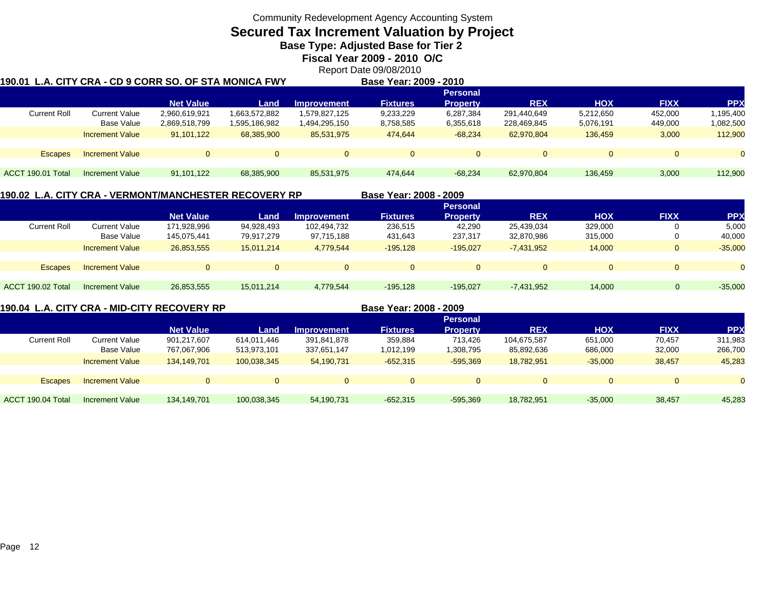**Secured Tax Increment Valuation by Project**

**Base Type: Adjusted Base for Tier 2** 

**Fiscal Year 2009 - 2010 O/C**

Report Date 09/08/2010

| 190.01 L.A. CITY CRA - CD 9 CORR SO. OF STA MONICA FWY |                        |                  |               |                    | Base Year: 2009 - 2010 |                 |             |            |             |            |
|--------------------------------------------------------|------------------------|------------------|---------------|--------------------|------------------------|-----------------|-------------|------------|-------------|------------|
|                                                        |                        |                  |               |                    |                        | <b>Personal</b> |             |            |             |            |
|                                                        |                        | <b>Net Value</b> | Land          | <b>Improvement</b> | <b>Fixtures</b>        | <b>Property</b> | <b>REX</b>  | <b>HOX</b> | <b>FIXX</b> | <b>PPX</b> |
| <b>Current Roll</b>                                    | Current Value          | 2,960,619,921    | 1,663,572,882 | 1,579,827,125      | 9,233,229              | 6,287,384       | 291.440.649 | 5,212,650  | 452,000     | 195,400    |
|                                                        | Base Value             | 2,869,518,799    | 1,595,186,982 | 1,494,295,150      | 8,758,585              | 6,355,618       | 228,469,845 | 5,076,191  | 449,000     | 1,082,500  |
|                                                        | <b>Increment Value</b> | 91.101.122       | 68,385,900    | 85.531.975         | 474.644                | $-68.234$       | 62.970.804  | 136.459    | 3,000       | 112,900    |
|                                                        |                        |                  |               |                    |                        |                 |             |            |             |            |
| <b>Escapes</b>                                         | <b>Increment Value</b> |                  | $\Omega$      | $\Omega$           | $\Omega$               | $\Omega$        | $\Omega$    | $\Omega$   | $\Omega$    |            |
|                                                        |                        |                  |               |                    |                        |                 |             |            |             |            |
| ACCT 190.01 Total                                      | Increment Value        | 91,101,122       | 68,385,900    | 85,531,975         | 474.644                | $-68,234$       | 62,970,804  | 136,459    | 3,000       | 112,900    |
|                                                        |                        |                  |               |                    |                        |                 |             |            |             |            |

### **190.02 L.A. CITY CRA - VERMONT/MANCHESTER RECOVERY RP**

|                   |                        |                  |            |             |                 | <b>Personal</b> |              |            |             |            |
|-------------------|------------------------|------------------|------------|-------------|-----------------|-----------------|--------------|------------|-------------|------------|
|                   |                        | <b>Net Value</b> | 'Land      | Improvement | <b>Fixtures</b> | <b>Property</b> | <b>REX</b>   | <b>HOX</b> | <b>FIXX</b> | <b>PPX</b> |
| Current Roll      | <b>Current Value</b>   | 171,928,996      | 94,928,493 | 102,494,732 | 236,515         | 42,290          | 25,439,034   | 329,000    |             | 5,000      |
|                   | Base Value             | 145,075,441      | 79.917.279 | 97,715,188  | 431,643         | 237,317         | 32,870,986   | 315,000    |             | 40,000     |
|                   | <b>Increment Value</b> | 26,853,555       | 15,011,214 | 4,779,544   | $-195,128$      | $-195.027$      | $-7,431,952$ | 14.000     |             | $-35,000$  |
|                   |                        |                  |            |             |                 |                 |              |            |             |            |
| <b>Escapes</b>    | <b>Increment Value</b> |                  | $\Omega$   | 0           | $\mathbf{0}$    | 0               | 0            |            |             |            |
|                   |                        |                  |            |             |                 |                 |              |            |             |            |
| ACCT 190.02 Total | <b>Increment Value</b> | 26,853,555       | 15,011,214 | 4,779,544   | $-195,128$      | $-195.027$      | $-7,431,952$ | 14,000     | 0           | $-35,000$  |

**190.04 L.A. CITY CRA - MID-CITY RECOVERY RP**

**Base Year: 2008 - 2009**

**Base Year: 2008 - 2009**

|                     |                        |                  |             |                    |                 | <b>Personal</b> |             |            |             |            |
|---------------------|------------------------|------------------|-------------|--------------------|-----------------|-----------------|-------------|------------|-------------|------------|
|                     |                        | <b>Net Value</b> | Land        | <b>Improvement</b> | <b>Fixtures</b> | <b>Property</b> | <b>REX</b>  | <b>HOX</b> | <b>FIXX</b> | <b>PPX</b> |
| <b>Current Roll</b> | <b>Current Value</b>   | 901,217,607      | 614,011,446 | 391,841,878        | 359,884         | 713.426         | 104,675,587 | 651,000    | 70,457      | 311,983    |
|                     | Base Value             | 767,067,906      | 513,973,101 | 337,651,147        | 1,012,199       | 1,308,795       | 85,892,636  | 686,000    | 32,000      | 266,700    |
|                     | <b>Increment Value</b> | 134.149.701      | 100,038,345 | 54,190,731         | $-652,315$      | $-595.369$      | 18.782.951  | $-35,000$  | 38,457      | 45,283     |
| <b>Escapes</b>      | <b>Increment Value</b> |                  |             |                    |                 | 0               | $\Omega$    |            |             |            |
| ACCT 190.04 Total   | Increment Value        | 134,149,701      | 100.038.345 | 54,190,731         | $-652,315$      | $-595,369$      | 18,782,951  | $-35,000$  | 38,457      | 45,283     |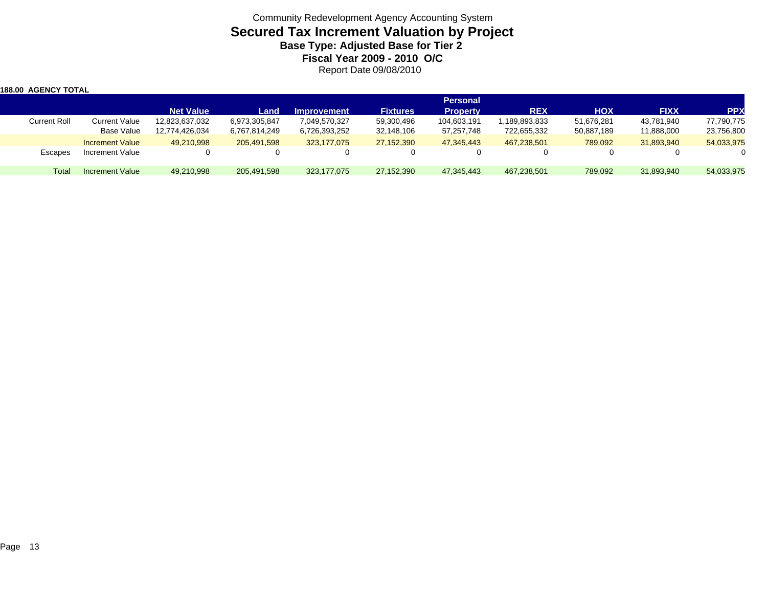### Community Redevelopment Agency Accounting System **Secured Tax Increment Valuation by Project Base Type: Adjusted Base for Tier 2 Fiscal Year 2009 - 2010 O/C** Report Date 09/08/2010

| 188.00 AGENCY TOTAL |                        |                  |               |                    |                 |                 |               |            |             |            |
|---------------------|------------------------|------------------|---------------|--------------------|-----------------|-----------------|---------------|------------|-------------|------------|
|                     |                        |                  |               |                    |                 | <b>Personal</b> |               |            |             |            |
|                     |                        | <b>Net Value</b> | Land          | <b>Improvement</b> | <b>Fixtures</b> | <b>Property</b> | <b>REX</b>    | <b>HOX</b> | <b>FIXX</b> | <b>PPX</b> |
| <b>Current Roll</b> | <b>Current Value</b>   | 12,823,637,032   | 6,973,305,847 | 7,049,570,327      | 59,300,496      | 104,603,191     | 1,189,893,833 | 51,676,281 | 43,781,940  | 77,790,775 |
|                     | Base Value             | 12,774,426,034   | 6,767,814,249 | 6,726,393,252      | 32,148,106      | 57,257,748      | 722,655,332   | 50,887,189 | 11,888,000  | 23,756,800 |
|                     | <b>Increment Value</b> | 49,210,998       | 205,491,598   | 323.177.075        | 27,152,390      | 47,345,443      | 467,238,501   | 789.092    | 31,893,940  | 54,033,975 |
| Escapes             | Increment Value        |                  |               |                    |                 |                 |               | 0          |             |            |
| Total               | Increment Value        | 49,210,998       | 205,491,598   | 323,177,075        | 27,152,390      | 47,345,443      | 467,238,501   | 789,092    | 31,893,940  | 54,033,975 |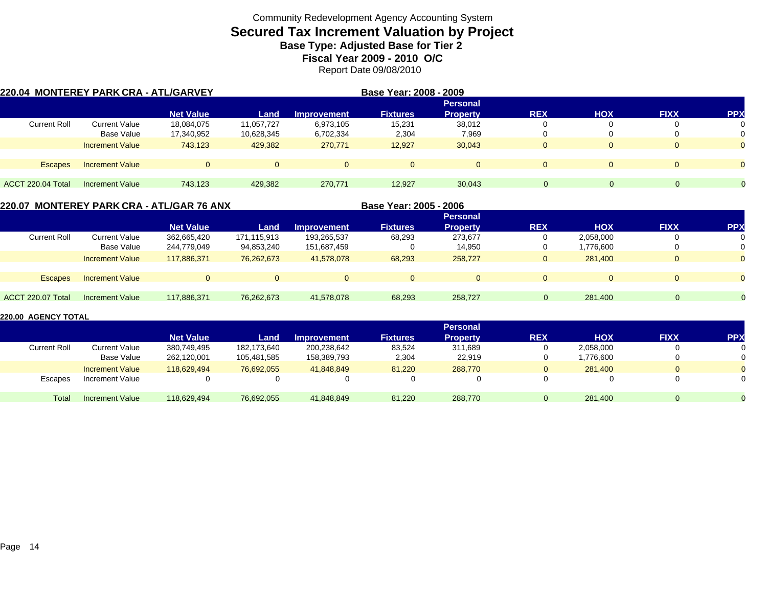# **Secured Tax Increment Valuation by Project**

**Base Type: Adjusted Base for Tier 2** 

**Fiscal Year 2009 - 2010 O/C**

Report Date 09/08/2010

| 220.04 MONTEREY PARK CRA - ATL/GARVEY |                        |                  |            |                    | Base Year: 2008 - 2009 |                 |              |            |             |                |
|---------------------------------------|------------------------|------------------|------------|--------------------|------------------------|-----------------|--------------|------------|-------------|----------------|
|                                       |                        |                  |            |                    |                        | <b>Personal</b> |              |            |             |                |
|                                       |                        | <b>Net Value</b> | Land       | <b>Improvement</b> | <b>Fixtures</b>        | <b>Property</b> | <b>REX</b>   | <b>HOX</b> | <b>FIXX</b> | <b>PP</b>      |
| <b>Current Roll</b>                   | Current Value          | 18,084,075       | 11,057,727 | 6,973,105          | 15,231                 | 38,012          | 0            |            |             | 0              |
|                                       | Base Value             | 17,340,952       | 10,628,345 | 6,702,334          | 2,304                  | 7,969           | 0            |            |             | 0              |
|                                       | <b>Increment Value</b> | 743.123          | 429,382    | 270,771            | 12,927                 | 30,043          | $\mathbf 0$  | 0          |             | $\Omega$       |
|                                       |                        |                  |            |                    |                        |                 |              |            |             |                |
| <b>Escapes</b>                        | <b>Increment Value</b> | $\Omega$         |            | $\Omega$           | $\Omega$               | $\Omega$        | $\Omega$     | $\Omega$   |             | $\Omega$       |
|                                       |                        |                  |            |                    |                        |                 |              |            |             |                |
| ACCT 220.04 Total                     | Increment Value        | 743.123          | 429,382    | 270,771            | 12,927                 | 30,043          | $\mathbf{0}$ |            | $\Omega$    | $\overline{0}$ |

|                     |                        | 220.07 MONTEREY PARK CRA - ATL/GAR 76 ANX |             |                    | Base Year: 2005 - 2006 |                 |            |            |              |           |
|---------------------|------------------------|-------------------------------------------|-------------|--------------------|------------------------|-----------------|------------|------------|--------------|-----------|
|                     |                        |                                           |             |                    |                        | <b>Personal</b> |            |            |              |           |
|                     |                        | <b>Net Value</b>                          | Land        | <b>Improvement</b> | <b>Fixtures</b>        | <b>Property</b> | <b>REX</b> | <b>HOX</b> | <b>FIXX</b>  | <b>PP</b> |
| <b>Current Roll</b> | <b>Current Value</b>   | 362,665,420                               | 171,115,913 | 193,265,537        | 68,293                 | 273.677         | 0          | 2,058,000  | 0            |           |
|                     | Base Value             | 244,779,049                               | 94,853,240  | 151,687,459        |                        | 14,950          | 0          | 1,776,600  | 0            | 0         |
|                     | <b>Increment Value</b> | 117.886.371                               | 76,262,673  | 41.578.078         | 68,293                 | 258,727         | 0          | 281.400    | $\mathbf{0}$ | $\Omega$  |
|                     |                        |                                           |             |                    |                        |                 |            |            |              |           |
| <b>Escapes</b>      | <b>Increment Value</b> | $\Omega$                                  |             |                    | $\Omega$               | $\Omega$        | $\Omega$   | $\Omega$   | $\Omega$     | $\Omega$  |
|                     |                        |                                           |             |                    |                        |                 |            |            |              |           |
| ACCT 220.07 Total   | Increment Value        | 117,886,371                               | 76,262,673  | 41.578.078         | 68,293                 | 258.727         |            | 281.400    |              |           |
|                     |                        |                                           |             |                    |                        |                 |            |            |              |           |

|              |                        |                  |             |                    |                 | <b>Personal</b> |             |            |             |            |
|--------------|------------------------|------------------|-------------|--------------------|-----------------|-----------------|-------------|------------|-------------|------------|
|              |                        | <b>Net Value</b> | Land        | <b>Improvement</b> | <b>Fixtures</b> | <b>Property</b> | <b>REX</b>  | <b>HOX</b> | <b>FIXX</b> | <b>PPX</b> |
| Current Roll | <b>Current Value</b>   | 380,749,495      | 182.173.640 | 200,238,642        | 83,524          | 311.689         |             | 2,058,000  |             |            |
|              | Base Value             | 262,120,001      | 105.481.585 | 158,389,793        | 2,304           | 22,919          | ν           | 1.776.600  |             |            |
|              | <b>Increment Value</b> | 118,629,494      | 76,692,055  | 41.848.849         | 81,220          | 288,770         | U           | 281.400    |             |            |
| Escapes      | Increment Value        |                  |             |                    |                 |                 |             |            |             |            |
| Total        | Increment Value        | 118,629,494      | 76,692,055  | 41,848,849         | 81,220          | 288,770         | $\mathbf u$ | 281.400    |             |            |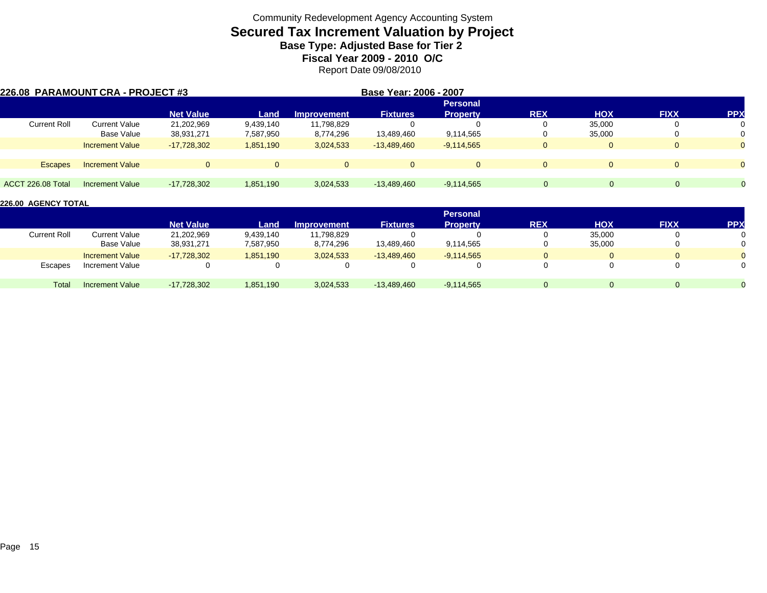# **Secured Tax Increment Valuation by Project**

**Base Type: Adjusted Base for Tier 2** 

**Fiscal Year 2009 - 2010 O/C**

Report Date 09/08/2010

| 226.08 PARAMOUNT CRA - PROJECT #3 |                        |                  |           |                    | Base Year: 2006 - 2007 |                 |              |            |             |            |
|-----------------------------------|------------------------|------------------|-----------|--------------------|------------------------|-----------------|--------------|------------|-------------|------------|
|                                   |                        |                  |           |                    |                        | <b>Personal</b> |              |            |             |            |
|                                   |                        | <b>Net Value</b> | Land      | <b>Improvement</b> | <b>Fixtures</b>        | <b>Property</b> | <b>REX</b>   | <b>HOX</b> | <b>FIXX</b> | <b>PPX</b> |
| <b>Current Roll</b>               | <b>Current Value</b>   | 21,202,969       | 9,439,140 | 11,798,829         |                        |                 | υ            | 35,000     |             |            |
|                                   | Base Value             | 38,931,271       | 7,587,950 | 8,774,296          | 13,489,460             | 9,114,565       | υ            | 35,000     | 0           |            |
|                                   | <b>Increment Value</b> | $-17,728,302$    | 1,851,190 | 3,024,533          | $-13,489,460$          | $-9,114,565$    | $\Omega$     |            | $\Omega$    |            |
| <b>Escapes</b>                    | <b>Increment Value</b> | $\Omega$         | $\Omega$  |                    | $\Omega$               | $\Omega$        | $\Omega$     |            | $\Omega$    |            |
|                                   |                        |                  |           |                    |                        |                 |              |            |             |            |
| ACCT 226.08 Total                 | Increment Value        | $-17,728,302$    | 1,851,190 | 3,024,533          | $-13,489,460$          | $-9,114,565$    | $\mathbf{0}$ | $\Omega$   |             | $\Omega$   |

|                     |                        |                  |           |                    |                 | <b>Personal</b> |            |            |             |            |
|---------------------|------------------------|------------------|-----------|--------------------|-----------------|-----------------|------------|------------|-------------|------------|
|                     |                        | <b>Net Value</b> | Land      | <b>Improvement</b> | <b>Fixtures</b> | <b>Property</b> | <b>REX</b> | <b>HOX</b> | <b>FIXX</b> | <b>PPX</b> |
| <b>Current Roll</b> | Current Value          | 21,202,969       | 9,439,140 | 11,798,829         |                 |                 |            | 35,000     |             |            |
|                     | Base Value             | 38,931,271       | 7,587,950 | 8,774,296          | 13,489,460      | 9,114,565       |            | 35,000     |             |            |
|                     | <b>Increment Value</b> | $-17,728,302$    | 1,851,190 | 3,024,533          | $-13,489,460$   | $-9,114,565$    |            |            |             |            |
| Escapes             | Increment Value        |                  |           |                    |                 |                 |            |            |             |            |
| Total               | Increment Value        | -17,728,302      | 1,851,190 | 3,024,533          | $-13,489,460$   | $-9,114,565$    |            |            |             |            |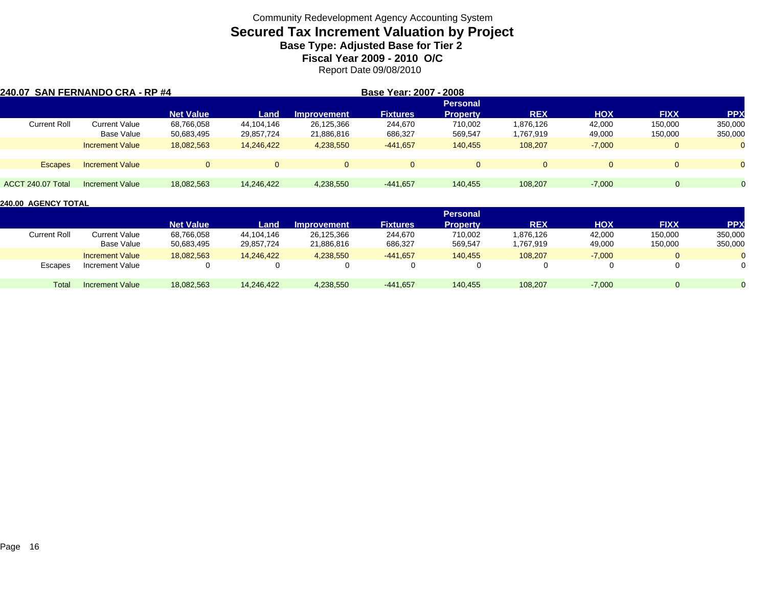# **Secured Tax Increment Valuation by Project**

**Base Type: Adjusted Base for Tier 2** 

**Fiscal Year 2009 - 2010 O/C**

Report Date 09/08/2010

| 240.07 SAN FERNANDO CRA - RP #4 |                        |                  |            |                    | Base Year: 2007 - 2008 |                 |              |            |             |                |
|---------------------------------|------------------------|------------------|------------|--------------------|------------------------|-----------------|--------------|------------|-------------|----------------|
|                                 |                        |                  |            |                    |                        | <b>Personal</b> |              |            |             |                |
|                                 |                        | <b>Net Value</b> | Land       | <b>Improvement</b> | <b>Fixtures</b>        | <b>Property</b> | <b>REX</b>   | <b>HOX</b> | <b>FIXX</b> | <b>PPX</b>     |
| <b>Current Roll</b>             | Current Value          | 68,766,058       | 44.104.146 | 26,125,366         | 244.670                | 710.002         | 1,876,126    | 42,000     | 150,000     | 350,000        |
|                                 | Base Value             | 50,683,495       | 29,857,724 | 21,886,816         | 686,327                | 569,547         | 1,767,919    | 49,000     | 150,000     | 350,000        |
|                                 | <b>Increment Value</b> | 18.082.563       | 14,246,422 | 4,238,550          | $-441,657$             | 140.455         | 108,207      | $-7,000$   |             | $\Omega$       |
|                                 |                        |                  |            |                    |                        |                 |              |            |             |                |
| <b>Escapes</b>                  | <b>Increment Value</b> |                  | $\Omega$   | $\Omega$           | $\Omega$               | $\Omega$        | $\mathbf{0}$ | $\Omega$   |             | $\Omega$       |
|                                 |                        |                  |            |                    |                        |                 |              |            |             |                |
| ACCT 240.07 Total               | Increment Value        | 18,082,563       | 14,246,422 | 4,238,550          | $-441,657$             | 140,455         | 108,207      | $-7,000$   | $\Omega$    | $\overline{0}$ |

|                     |                        |                  |            |                    |                 | <b>Personal</b> |            |            |             |            |
|---------------------|------------------------|------------------|------------|--------------------|-----------------|-----------------|------------|------------|-------------|------------|
|                     |                        | <b>Net Value</b> | Land       | <b>Improvement</b> | <b>Fixtures</b> | <b>Property</b> | <b>REX</b> | <b>HOX</b> | <b>FIXX</b> | <b>PPX</b> |
| <b>Current Roll</b> | Current Value          | 68,766,058       | 44.104.146 | 26.125.366         | 244,670         | 710.002         | 1,876,126  | 42,000     | 150,000     | 350,000    |
|                     | Base Value             | 50,683,495       | 29,857,724 | 21,886,816         | 686,327         | 569,547         | ,767,919   | 49,000     | 150,000     | 350,000    |
|                     | <b>Increment Value</b> | 18,082,563       | 14,246,422 | 4,238,550          | $-441,657$      | 140,455         | 108,207    | $-7,000$   |             |            |
| <b>Escapes</b>      | Increment Value        |                  |            |                    |                 |                 |            |            |             |            |
| Total               | Increment Value        | 18,082,563       | 14,246,422 | 4,238,550          | $-441,657$      | 140,455         | 108,207    | $-7,000$   |             |            |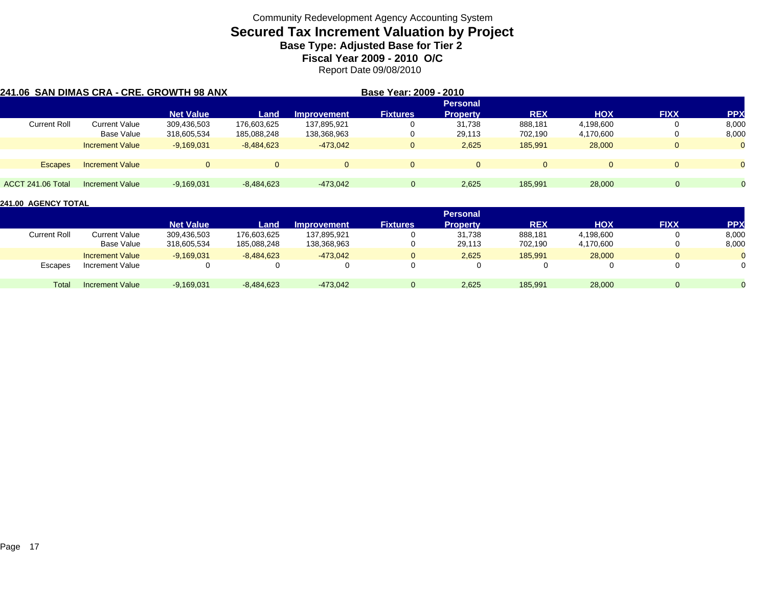## **Secured Tax Increment Valuation by Project**

**Base Type: Adjusted Base for Tier 2** 

**Fiscal Year 2009 - 2010 O/C**

Report Date 09/08/2010

|                     |                        | 241.06 SAN DIMAS CRA - CRE. GROWTH 98 ANX |              |                    | Base Year: 2009 - 2010 |                 |            |            |              |            |
|---------------------|------------------------|-------------------------------------------|--------------|--------------------|------------------------|-----------------|------------|------------|--------------|------------|
|                     |                        |                                           |              |                    |                        | <b>Personal</b> |            |            |              |            |
|                     |                        | <b>Net Value</b>                          | Land         | <b>Improvement</b> | <b>Fixtures</b>        | <b>Property</b> | <b>REX</b> | <b>HOX</b> | <b>FIXX</b>  | <b>PPX</b> |
| <b>Current Roll</b> | Current Value          | 309,436,503                               | 176,603,625  | 137,895,921        | 0                      | 31.738          | 888,181    | 4,198,600  | 0            | 8,000      |
|                     | Base Value             | 318,605,534                               | 185,088,248  | 138,368,963        | 0                      | 29,113          | 702,190    | 4,170,600  |              | 8,000      |
|                     | <b>Increment Value</b> | $-9,169,031$                              | $-8,484,623$ | $-473.042$         | $\mathbf{0}$           | 2,625           | 185,991    | 28,000     | $\mathbf{0}$ | $\Omega$   |
| <b>Escapes</b>      | <b>Increment Value</b> | $\Omega$                                  | $\Omega$     | $\overline{0}$     | $\Omega$               |                 | $\Omega$   | $\Omega$   | $\Omega$     | $\Omega$   |
| ACCT 241.06 Total   | Increment Value        | $-9.169.031$                              | $-8,484,623$ | $-473.042$         | $\Omega$               | 2,625           | 185.991    | 28,000     | $\Omega$     |            |

|                     |                        |                  |              |                    |                 | <b>Personal</b> |            |            |             |            |
|---------------------|------------------------|------------------|--------------|--------------------|-----------------|-----------------|------------|------------|-------------|------------|
|                     |                        | <b>Net Value</b> | Land         | <b>Improvement</b> | <b>Fixtures</b> | <b>Property</b> | <b>REX</b> | <b>HOX</b> | <b>FIXX</b> | <b>PPX</b> |
| <b>Current Roll</b> | Current Value          | 309,436,503      | 176,603,625  | 137,895,921        |                 | 31.738          | 888,181    | 4,198,600  |             | 8,000      |
|                     | Base Value             | 318,605,534      | 185,088,248  | 138,368,963        |                 | 29,113          | 702,190    | 4,170,600  |             | 8,000      |
|                     | <b>Increment Value</b> | $-9.169.031$     | $-8.484.623$ | $-473.042$         |                 | 2.625           | 185.991    | 28,000     |             |            |
| Escapes             | Increment Value        |                  |              |                    |                 |                 |            |            |             |            |
| Total               | Increment Value        | $-9,169,031$     | $-8,484,623$ | $-473,042$         |                 | 2,625           | 185,991    | 28,000     |             |            |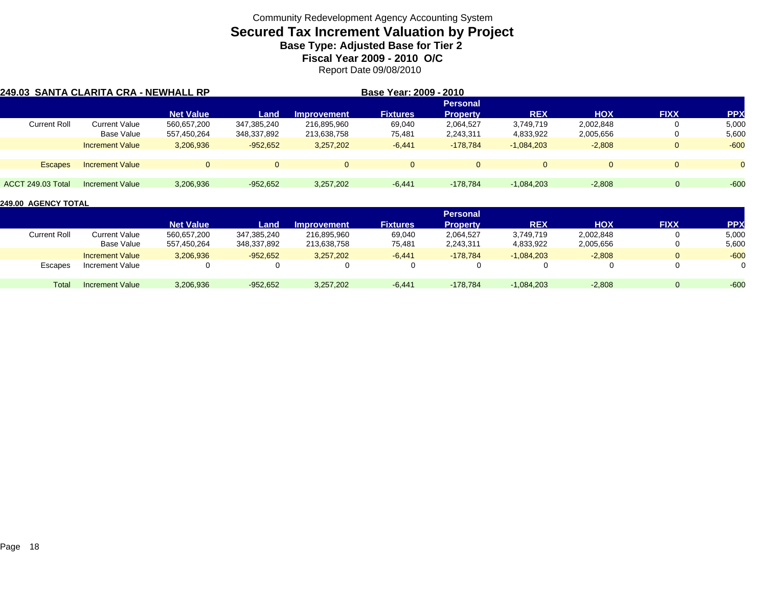## **Secured Tax Increment Valuation by Project**

**Base Type: Adjusted Base for Tier 2** 

**Fiscal Year 2009 - 2010 O/C**

Report Date 09/08/2010

| 249.03 SANTA CLARITA CRA - NEWHALL RP |                        |                  |             |                    | Base Year: 2009 - 2010 |                 |              |            |             |            |
|---------------------------------------|------------------------|------------------|-------------|--------------------|------------------------|-----------------|--------------|------------|-------------|------------|
|                                       |                        |                  |             |                    |                        | <b>Personal</b> |              |            |             |            |
|                                       |                        | <b>Net Value</b> | Land        | <b>Improvement</b> | <b>Fixtures</b>        | <b>Property</b> | <b>REX</b>   | <b>HOX</b> | <b>FIXX</b> | <b>PPX</b> |
| <b>Current Roll</b>                   | <b>Current Value</b>   | 560.657.200      | 347,385,240 | 216.895.960        | 69,040                 | 2,064,527       | 3,749,719    | 2,002,848  | 0           | 5,000      |
|                                       | Base Value             | 557,450,264      | 348,337,892 | 213,638,758        | 75,481                 | 2,243,311       | 4,833,922    | 2,005,656  | 0           | 5,600      |
|                                       | <b>Increment Value</b> | 3,206,936        | $-952,652$  | 3,257,202          | $-6,441$               | $-178.784$      | $-1.084.203$ | $-2,808$   | $\Omega$    | $-600$     |
| <b>Escapes</b>                        | <b>Increment Value</b> |                  | $\Omega$    | $\Omega$           | $\Omega$               | $\Omega$        |              | $\Omega$   | $\Omega$    |            |
| <b>ACCT 249.03 Total</b>              | Increment Value        | 3,206,936        | $-952,652$  | 3,257,202          | $-6,441$               | $-178.784$      | $-1.084.203$ | $-2,808$   |             | $-60c$     |

|                     |                        |                  |             |                    |                 | <b>Personal</b> |              |            |             |           |
|---------------------|------------------------|------------------|-------------|--------------------|-----------------|-----------------|--------------|------------|-------------|-----------|
|                     |                        | <b>Net Value</b> | Land        | <b>Improvement</b> | <b>Fixtures</b> | Property        | <b>REX</b>   | <b>HOX</b> | <b>FIXX</b> | <b>PP</b> |
| <b>Current Roll</b> | <b>Current Value</b>   | 560,657,200      | 347,385,240 | 216,895,960        | 69,040          | 2,064,527       | 3,749,719    | 2,002,848  |             | 5,000     |
|                     | Base Value             | 557,450,264      | 348,337,892 | 213,638,758        | 75,481          | 2,243,311       | 4,833,922    | 2,005,656  |             | 5,600     |
|                     | <b>Increment Value</b> | 3,206,936        | $-952.652$  | 3,257,202          | $-6,441$        | $-178.784$      | $-1,084,203$ | $-2,808$   |             | $-600$    |
| Escapes             | Increment Value        |                  |             |                    |                 |                 |              | 0          |             |           |
| Total               | <b>Increment Value</b> | 3,206,936        | $-952,652$  | 3,257,202          | $-6,441$        | $-178.784$      | $-1,084,203$ | $-2,808$   |             | $-600$    |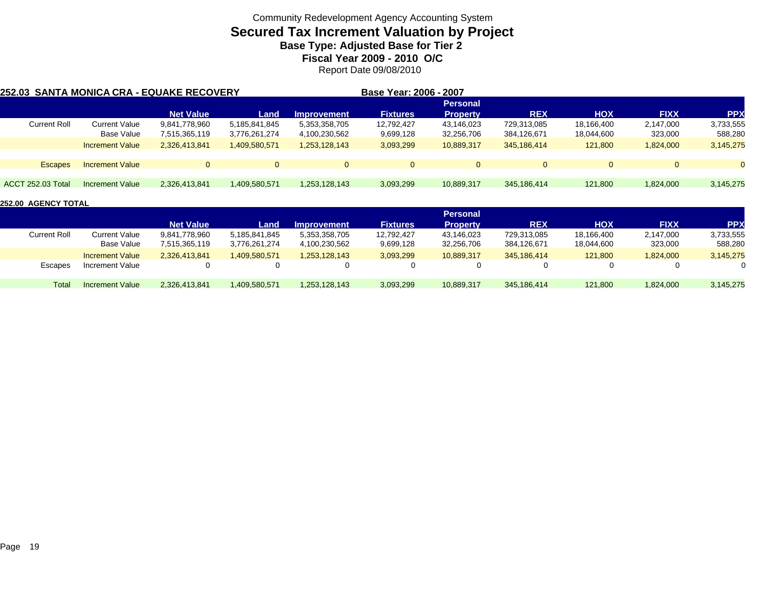### **Secured Tax Increment Valuation by Project**

**Base Type: Adjusted Base for Tier 2** 

**Fiscal Year 2009 - 2010 O/C**

Report Date 09/08/2010

| 252.03  SANTA MONICA CRA - EQUAKE RECOVERY |                        |                  |               |                    | Base Year: 2006 - 2007 |                 |             |            |             |            |
|--------------------------------------------|------------------------|------------------|---------------|--------------------|------------------------|-----------------|-------------|------------|-------------|------------|
|                                            |                        |                  |               |                    |                        | <b>Personal</b> |             |            |             |            |
|                                            |                        | <b>Net Value</b> | Land          | <b>Improvement</b> | <b>Fixtures</b>        | <b>Property</b> | <b>REX</b>  | <b>HOX</b> | <b>FIXX</b> | <b>PPX</b> |
| <b>Current Roll</b>                        | Current Value          | 9,841,778,960    | 5,185,841,845 | 5,353,358,705      | 12,792,427             | 43,146,023      | 729,313,085 | 18,166,400 | 2,147,000   | 3,733,555  |
|                                            | Base Value             | 7,515,365,119    | 3,776,261,274 | 4,100,230,562      | 9,699,128              | 32,256,706      | 384,126,671 | 18,044,600 | 323,000     | 588,280    |
|                                            | <b>Increment Value</b> | 2,326,413,841    | 1,409,580,571 | 1,253,128,143      | 3,093,299              | 10,889,317      | 345.186.414 | 121.800    | 1,824,000   | 3,145,275  |
| <b>Escapes</b>                             | <b>Increment Value</b> | 0                | $\Omega$      | $\Omega$           | $\Omega$               | $\Omega$        | $\Omega$    | $\Omega$   | $\Omega$    | $\Omega$   |
|                                            |                        |                  |               |                    |                        |                 |             |            |             |            |
| <b>ACCT 252.03 Total</b>                   | <b>Increment Value</b> | 2,326,413,841    | 1.409.580.571 | 1,253,128,143      | 3,093,299              | 10,889,317      | 345.186.414 | 121,800    | 1,824,000   | 3,145,275  |

|                     |                        |                  |               |                    |                 | <b>Personal</b> |             |            |             |           |
|---------------------|------------------------|------------------|---------------|--------------------|-----------------|-----------------|-------------|------------|-------------|-----------|
|                     |                        | <b>Net Value</b> | Land          | <b>Improvement</b> | <b>Fixtures</b> | <b>Property</b> | <b>REX</b>  | <b>HOX</b> | <b>FIXX</b> | PP)       |
| <b>Current Roll</b> | Current Value          | 9,841,778,960    | 5.185.841.845 | 5,353,358,705      | 12,792,427      | 43,146,023      | 729,313,085 | 18,166,400 | 2,147,000   | 3,733,555 |
|                     | Base Value             | 7,515,365,119    | 3,776,261,274 | 4,100,230,562      | 9,699,128       | 32,256,706      | 384,126,671 | 18,044,600 | 323,000     | 588,280   |
|                     | <b>Increment Value</b> | 2.326.413.841    | .409.580.571  | 1.253.128.143      | 3,093,299       | 10.889.317      | 345.186.414 | 121.800    | 1,824,000   | 3,145,275 |
| Escapes             | Increment Value        |                  |               |                    |                 |                 |             | 0          |             |           |
| Total               | <b>Increment Value</b> | 2,326,413,841    | 1,409,580,571 | 1,253,128,143      | 3,093,299       | 10,889,317      | 345.186.414 | 121,800    | 1,824,000   | 3,145,275 |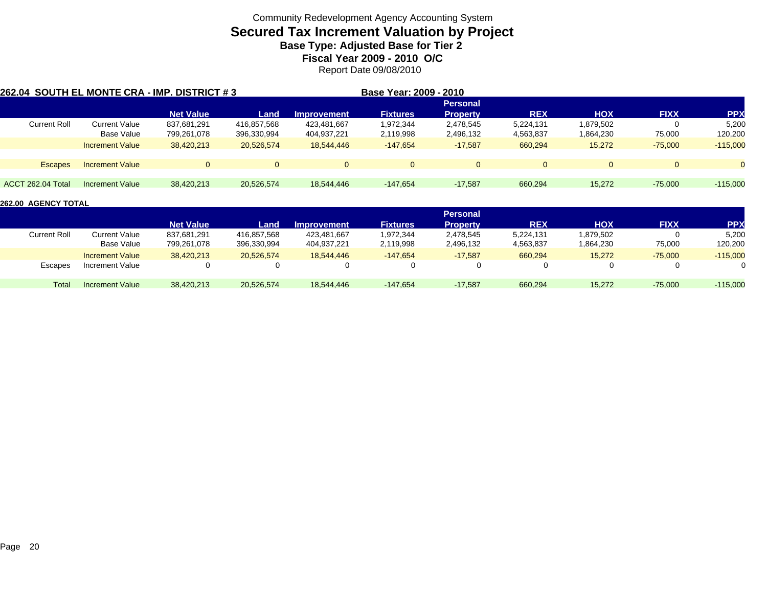## **Secured Tax Increment Valuation by Project**

**Base Type: Adjusted Base for Tier 2** 

**Fiscal Year 2009 - 2010 O/C**

Report Date 09/08/2010

| 262.04 SOUTH EL MONTE CRA - IMP. DISTRICT # 3 |                        |                  |             |                    | Base Year: 2009 - 2010 |                 |            |            |             |            |
|-----------------------------------------------|------------------------|------------------|-------------|--------------------|------------------------|-----------------|------------|------------|-------------|------------|
|                                               |                        |                  |             |                    |                        | <b>Personal</b> |            |            |             |            |
|                                               |                        | <b>Net Value</b> | Land        | <b>Improvement</b> | <b>Fixtures</b>        | <b>Property</b> | <b>REX</b> | <b>HOX</b> | <b>FIXX</b> | <b>PPX</b> |
| <b>Current Roll</b>                           | Current Value          | 837,681,291      | 416,857,568 | 423,481,667        | 1,972,344              | 2,478,545       | 5,224,131  | 1,879,502  |             | 5,200      |
|                                               | Base Value             | 799,261,078      | 396,330,994 | 404,937,221        | 2,119,998              | 2,496,132       | 4,563,837  | 1,864,230  | 75,000      | 120,200    |
|                                               | <b>Increment Value</b> | 38.420.213       | 20,526,574  | 18.544.446         | $-147,654$             | $-17.587$       | 660,294    | 15,272     | $-75.000$   | $-115,000$ |
| <b>Escapes</b>                                | <b>Increment Value</b> | $\Omega$         | $\Omega$    | $\overline{0}$     | $\Omega$               | $\Omega$        | $\Omega$   | $\Omega$   | $\Omega$    | $\Omega$   |
|                                               |                        |                  |             |                    |                        |                 |            |            |             |            |
| <b>ACCT 262.04 Total</b>                      | Increment Value        | 38,420,213       | 20,526,574  | 18,544,446         | $-147,654$             | $-17.587$       | 660,294    | 15,272     | $-75,000$   | $-115,000$ |

|                     |                        |                  |             |                    |                 | <b>Personal</b> |            |            |             |            |
|---------------------|------------------------|------------------|-------------|--------------------|-----------------|-----------------|------------|------------|-------------|------------|
|                     |                        | <b>Net Value</b> | Land        | <b>Improvement</b> | <b>Fixtures</b> | Propertv        | <b>REX</b> | <b>HOX</b> | <b>FIXX</b> | PP)        |
| <b>Current Roll</b> | Current Value          | 837,681,291      | 416,857,568 | 423,481,667        | 1,972,344       | 2,478,545       | 5,224,131  | 1,879,502  |             | 5,200      |
|                     | Base Value             | 799,261,078      | 396,330,994 | 404,937,221        | 2,119,998       | 2,496,132       | 4,563,837  | 1,864,230  | 75,000      | 120,200    |
|                     | <b>Increment Value</b> | 38,420,213       | 20.526.574  | 18.544.446         | $-147.654$      | $-17,587$       | 660,294    | 15,272     | $-75,000$   | $-115,000$ |
| Escapes             | Increment Value        |                  |             | $\Omega$           |                 |                 |            | $\Omega$   |             |            |
| Total               | Increment Value        | 38.420.213       | 20.526.574  | 18,544,446         | $-147.654$      | $-17,587$       | 660,294    | 15,272     | $-75,000$   | $-115,000$ |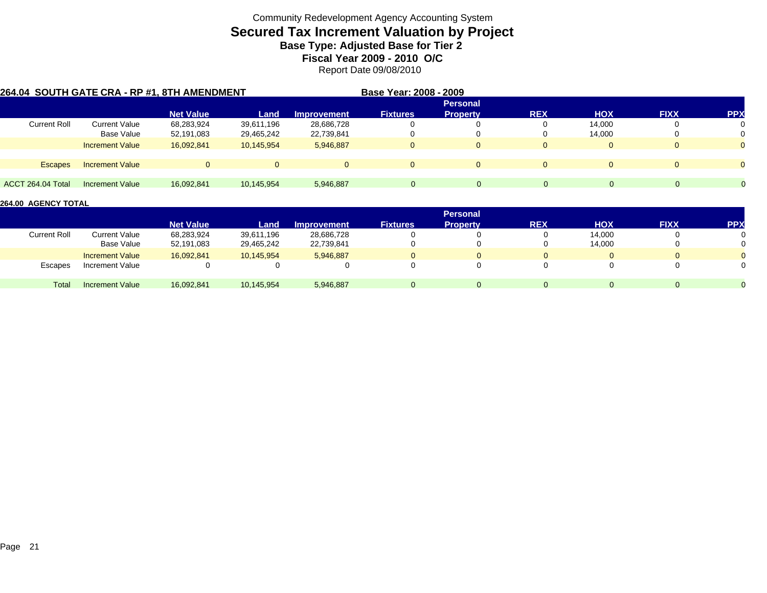## **Secured Tax Increment Valuation by Project**

**Base Type: Adjusted Base for Tier 2** 

**Fiscal Year 2009 - 2010 O/C**

Report Date 09/08/2010

|                     | 264.04 SOUTH GATE CRA - RP #1, 8TH AMENDMENT |                  |            |                    | Base Year: 2008 - 2009 |                 |                |            |              |            |
|---------------------|----------------------------------------------|------------------|------------|--------------------|------------------------|-----------------|----------------|------------|--------------|------------|
|                     |                                              |                  |            |                    |                        | <b>Personal</b> |                |            |              |            |
|                     |                                              | <b>Net Value</b> | Land       | <b>Improvement</b> | <b>Fixtures</b>        | <b>Property</b> | <b>REX</b>     | <b>HOX</b> | <b>FIXX</b>  | <b>PPX</b> |
| <b>Current Roll</b> | <b>Current Value</b>                         | 68,283,924       | 39,611,196 | 28,686,728         | 0                      |                 |                | 14,000     | 0            |            |
|                     | <b>Base Value</b>                            | 52,191,083       | 29,465,242 | 22,739,841         | 0                      |                 |                | 14,000     | 0            |            |
|                     | <b>Increment Value</b>                       | 16.092.841       | 10.145.954 | 5,946,887          | $\Omega$               |                 |                |            | 0            |            |
| <b>Escapes</b>      | <b>Increment Value</b>                       | $\Omega$         |            |                    | $\Omega$               | $\Omega$        | $\overline{0}$ | $\Omega$   | $\mathbf{0}$ |            |
|                     |                                              |                  |            |                    |                        |                 |                |            |              |            |
| ACCT 264.04 Total   | Increment Value                              | 16.092.841       | 10,145,954 | 5,946,887          | $\Omega$               | $\Omega$        | $\Omega$       | 0          | $\Omega$     | 0          |

|              |                        |                  |            |                    |                 | <b>Personal</b> |            |            |              |            |
|--------------|------------------------|------------------|------------|--------------------|-----------------|-----------------|------------|------------|--------------|------------|
|              |                        | <b>Net Value</b> | Land       | <b>Improvement</b> | <b>Fixtures</b> | <b>Property</b> | <b>REX</b> | <b>HOX</b> | <b>FIXX</b>  | <b>PPX</b> |
| Current Roll | Current Value          | 68,283,924       | 39,611,196 | 28,686,728         |                 |                 |            | 14,000     | 0            |            |
|              | Base Value             | 52,191,083       | 29,465,242 | 22,739,841         |                 |                 |            | 14,000     | $\mathbf{0}$ |            |
|              | <b>Increment Value</b> | 16,092,841       | 10,145,954 | 5,946,887          |                 |                 |            |            | 0            |            |
| Escapes      | Increment Value        |                  |            |                    |                 |                 |            |            | 0            |            |
| Total        | <b>Increment Value</b> | 16,092,841       | 10,145,954 | 5,946,887          |                 |                 |            |            | $\Omega$     |            |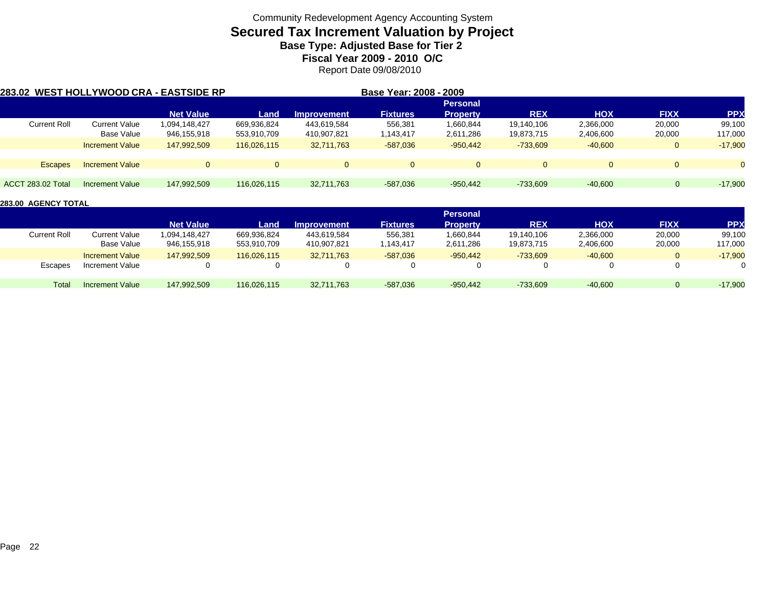## **Secured Tax Increment Valuation by Project**

**Base Type: Adjusted Base for Tier 2** 

**Fiscal Year 2009 - 2010 O/C**

Report Date 09/08/2010

| 283.02 WEST HOLLYWOOD CRA - EASTSIDE RP |                        |                  |             |                    | Base Year: 2008 - 2009 |                 |            |            |                |            |
|-----------------------------------------|------------------------|------------------|-------------|--------------------|------------------------|-----------------|------------|------------|----------------|------------|
|                                         |                        |                  |             |                    |                        | <b>Personal</b> |            |            |                |            |
|                                         |                        | <b>Net Value</b> | Land        | <b>Improvement</b> | <b>Fixtures</b>        | <b>Property</b> | <b>REX</b> | <b>HOX</b> | <b>FIXX</b>    | <b>PPX</b> |
| <b>Current Roll</b>                     | <b>Current Value</b>   | 1,094,148,427    | 669.936.824 | 443.619.584        | 556,381                | 1,660,844       | 19.140.106 | 2,366,000  | 20,000         | 99,100     |
|                                         | Base Value             | 946,155,918      | 553,910,709 | 410,907,821        | 1,143,417              | 2,611,286       | 19,873,715 | 2,406,600  | 20,000         | 117,000    |
|                                         | <b>Increment Value</b> | 147.992.509      | 116.026.115 | 32,711,763         | $-587,036$             | $-950,442$      | $-733,609$ | $-40,600$  | $\mathbf{0}$   | $-17,900$  |
| <b>Escapes</b>                          | <b>Increment Value</b> |                  | $\Omega$    | $\Omega$           | $\Omega$               | $\Omega$        | $\Omega$   | $\Omega$   | $\overline{0}$ |            |
| <b>ACCT 283.02 Total</b>                | Increment Value        | 147,992,509      | 116,026,115 | 32,711,763         | $-587,036$             | $-950,442$      | $-733.609$ | $-40.600$  | $\Omega$       | $-17,900$  |

|                     |                        |                  |             |                    |                 | <b>Personal</b> |            |            |             |           |
|---------------------|------------------------|------------------|-------------|--------------------|-----------------|-----------------|------------|------------|-------------|-----------|
|                     |                        | <b>Net Value</b> | Land        | <b>Improvement</b> | <b>Fixtures</b> | <b>Property</b> | <b>REX</b> | <b>HOX</b> | <b>FIXX</b> | PP)       |
| <b>Current Roll</b> | Current Value          | 094,148,427      | 669.936.824 | 443.619.584        | 556,381         | 1,660,844       | 19.140.106 | 2,366,000  | 20,000      | 99,100    |
|                     | Base Value             | 946,155,918      | 553,910,709 | 410,907,821        | 1,143,417       | 2,611,286       | 19,873,715 | 2,406,600  | 20,000      | 117,000   |
|                     | <b>Increment Value</b> | 147.992.509      | 116.026.115 | 32.711.763         | $-587.036$      | $-950.442$      | $-733.609$ | $-40,600$  |             | $-17,900$ |
| Escapes             | Increment Value        |                  |             |                    |                 |                 |            |            |             |           |
| Total               | Increment Value        | 147.992.509      | 116.026.115 | 32,711,763         | $-587,036$      | $-950,442$      | $-733,609$ | $-40,600$  |             | $-17,900$ |